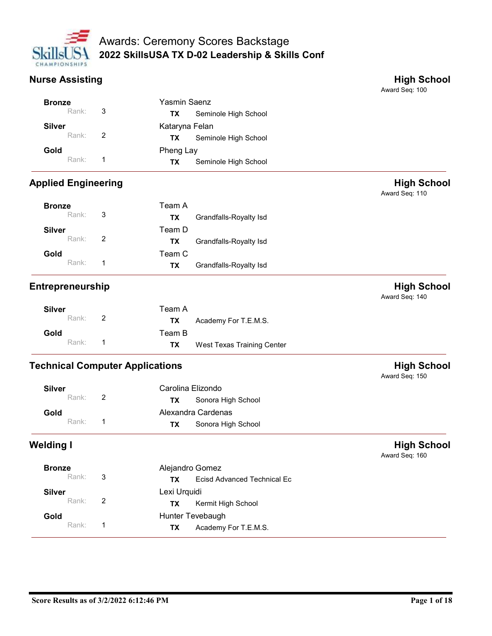

|                            | <b>Awards: Ceremony Scores Backstage</b>            |                                      |
|----------------------------|-----------------------------------------------------|--------------------------------------|
| <b>CHAMPIONSHIPS</b>       | 2022 SkillsUSA TX D-02 Leadership & Skills Conf     |                                      |
| <b>Nurse Assisting</b>     |                                                     | <b>High School</b><br>Award Seq: 100 |
|                            |                                                     |                                      |
| <b>Bronze</b>              | Yasmin Saenz                                        |                                      |
| Rank:                      | 3<br>Seminole High School<br><b>TX</b>              |                                      |
| <b>Silver</b>              | Kataryna Felan                                      |                                      |
| Rank:                      | $\overline{2}$<br>Seminole High School<br><b>TX</b> |                                      |
| Gold                       | Pheng Lay                                           |                                      |
| Rank:                      | $\overline{1}$<br>Seminole High School<br><b>TX</b> |                                      |
| <b>Applied Engineering</b> |                                                     | <b>High School</b><br>Award Seq: 110 |
| <b>Bronze</b>              | Team A                                              |                                      |
| Rank:                      | 3<br>Grandfalls-Royalty Isd<br><b>TX</b>            |                                      |

| Nurse Assisting            |       |                |                                        |                            | <b>High School</b><br>Award Seq: 100 |  |  |
|----------------------------|-------|----------------|----------------------------------------|----------------------------|--------------------------------------|--|--|
| <b>Bronze</b>              |       |                | Yasmin Saenz                           |                            |                                      |  |  |
|                            | Rank: | $\sqrt{3}$     | <b>TX</b>                              | Seminole High School       |                                      |  |  |
| <b>Silver</b>              |       |                | Kataryna Felan                         |                            |                                      |  |  |
|                            | Rank: | $\overline{2}$ | <b>TX</b>                              | Seminole High School       |                                      |  |  |
| Gold                       |       |                | Pheng Lay                              |                            |                                      |  |  |
|                            | Rank: | $\overline{1}$ | <b>TX</b>                              | Seminole High School       |                                      |  |  |
| <b>Applied Engineering</b> |       |                |                                        |                            | <b>High School</b><br>Award Seq: 110 |  |  |
| <b>Bronze</b>              |       |                | Team A                                 |                            |                                      |  |  |
|                            | Rank: | 3              | <b>TX</b>                              | Grandfalls-Royalty Isd     |                                      |  |  |
| <b>Silver</b>              |       |                | Team D                                 |                            |                                      |  |  |
|                            | Rank: | $\overline{2}$ | <b>TX</b>                              | Grandfalls-Royalty Isd     |                                      |  |  |
| Gold                       |       |                | Team C                                 |                            |                                      |  |  |
|                            | Rank: | $\overline{1}$ | TX                                     | Grandfalls-Royalty Isd     |                                      |  |  |
| Entrepreneurship           |       |                |                                        |                            | <b>High School</b><br>Award Seq: 140 |  |  |
| <b>Silver</b>              |       |                | Team A                                 |                            |                                      |  |  |
|                            | Rank: | $\overline{2}$ | TX                                     | Academy For T.E.M.S.       |                                      |  |  |
| Gold                       |       |                | Team B                                 |                            |                                      |  |  |
|                            | Rank: | $\overline{1}$ | <b>TX</b>                              | West Texas Training Center |                                      |  |  |
|                            |       |                | <b>Technical Computer Applications</b> |                            | <b>High School</b><br>Award Seq: 150 |  |  |
| <b>Silver</b>              |       |                | Carolina Elizondo                      |                            |                                      |  |  |
|                            | Rank: | $\overline{2}$ | <b>TX</b>                              | Sonora High School         |                                      |  |  |
| Gold                       |       |                |                                        | Alexandra Cardenas         |                                      |  |  |

| <b>Silver</b> |                | Team A |                            |
|---------------|----------------|--------|----------------------------|
| Rank:         | $\overline{2}$ | TX.    | Academy For T.E.M.S.       |
| Gold          |                | Team B |                            |
| Rank: 1       |                | TX.    | West Texas Training Center |

| Rank:                                  | $\overline{2}$ | <b>TX</b>         | Grandfalls-Royalty Isd             |                                      |
|----------------------------------------|----------------|-------------------|------------------------------------|--------------------------------------|
| Gold                                   |                | Team C            |                                    |                                      |
| Rank:                                  | $\overline{1}$ | <b>TX</b>         | Grandfalls-Royalty Isd             |                                      |
| Entrepreneurship                       |                |                   |                                    | <b>High School</b><br>Award Seq: 140 |
| <b>Silver</b>                          |                | Team A            |                                    |                                      |
| Rank:                                  | $\overline{2}$ | <b>TX</b>         | Academy For T.E.M.S.               |                                      |
| Gold                                   |                | Team B            |                                    |                                      |
| Rank:                                  | -1             | <b>TX</b>         | West Texas Training Center         |                                      |
| <b>Technical Computer Applications</b> |                |                   |                                    | <b>High School</b><br>Award Seq: 150 |
| <b>Silver</b>                          |                | Carolina Elizondo |                                    |                                      |
| Rank:                                  | $\overline{2}$ | <b>TX</b>         | Sonora High School                 |                                      |
| Gold                                   |                |                   | Alexandra Cardenas                 |                                      |
| Rank:                                  | $\overline{1}$ | <b>TX</b>         | Sonora High School                 |                                      |
| Welding I                              |                |                   |                                    | <b>High School</b><br>Award Seq: 160 |
| <b>Bronze</b>                          |                | Alejandro Gomez   |                                    |                                      |
| Rank:                                  | $\mathbf{3}$   | <b>TX</b>         | <b>Ecisd Advanced Technical Ec</b> |                                      |
| <b>Silver</b>                          |                | Lexi Urquidi      |                                    |                                      |
|                                        |                |                   |                                    |                                      |

| Rank:            | $\overline{2}$ | <b>TX</b><br>Sonora High School          |                                      |
|------------------|----------------|------------------------------------------|--------------------------------------|
| Gold             |                | Alexandra Cardenas                       |                                      |
| Rank:            | -1             | Sonora High School<br><b>TX</b>          |                                      |
| <b>Nelding I</b> |                |                                          | <b>High School</b><br>Award Seq: 160 |
| <b>Bronze</b>    |                | Alejandro Gomez                          |                                      |
| Rank:            | $\mathbf{3}$   | Ecisd Advanced Technical Ec<br><b>TX</b> |                                      |
| <b>Silver</b>    |                | Lexi Urquidi                             |                                      |
| Rank:            | $\overline{2}$ | Kermit High School<br><b>TX</b>          |                                      |
| Gold             |                | Hunter Tevebaugh                         |                                      |
| Rank:            | $\overline{1}$ | <b>TX</b>                                |                                      |
|                  |                | Academy For T.E.M.S.                     |                                      |
|                  |                |                                          |                                      |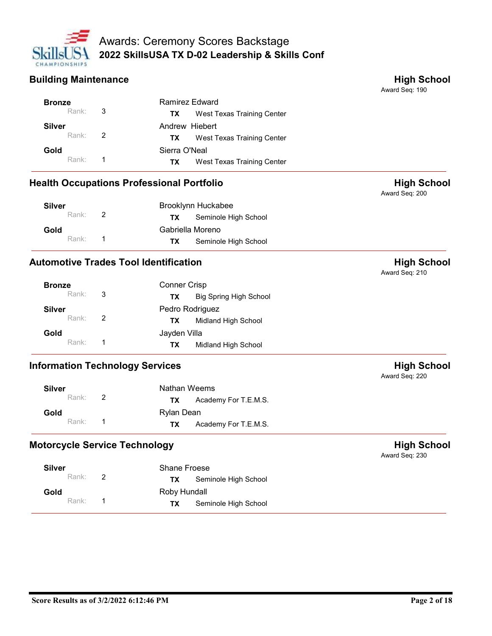

|                             |                            | <b>Awards: Ceremony Scores Backstage</b>         |                                      |
|-----------------------------|----------------------------|--------------------------------------------------|--------------------------------------|
| CHAMPIONSHIPS               |                            | 2022 SkillsUSA TX D-02 Leadership & Skills Conf  |                                      |
| <b>Building Maintenance</b> |                            |                                                  | <b>High School</b>                   |
|                             |                            |                                                  | Award Seq: 190                       |
| <b>Bronze</b>               |                            | Ramirez Edward                                   |                                      |
| Rank:                       | 3                          | West Texas Training Center<br>TX                 |                                      |
| <b>Silver</b>               |                            | Andrew Hiebert                                   |                                      |
| Rank:                       | 2                          | West Texas Training Center<br>TX                 |                                      |
| Gold                        |                            | Sierra O'Neal                                    |                                      |
| Rank:                       | -1                         | West Texas Training Center<br>TX                 |                                      |
|                             |                            | <b>Health Occupations Professional Portfolio</b> | <b>High School</b><br>Award Seq: 200 |
| <b>Silver</b>               |                            | Brooklynn Huckabee                               |                                      |
| Rank:                       | 2                          | Seminole High School<br><b>TX</b>                |                                      |
| Gold                        |                            | Gabriella Moreno                                 |                                      |
| Rank:                       | $\overline{\phantom{0}}$ 1 | Seminole High School<br>TX                       |                                      |
|                             |                            | <b>Automotive Trades Tool Identification</b>     | <b>High School</b><br>Award Seq: 210 |
| <b>Bronze</b>               |                            | Conner Crisp                                     |                                      |
| Rank:                       | $\sqrt{3}$                 | <b>Big Spring High School</b><br><b>TX</b>       |                                      |
|                             |                            | Pedro Rodriguez                                  |                                      |

| <b>Silver</b> |   | Brooklynn Huckabee                |  |
|---------------|---|-----------------------------------|--|
| Rank:         | 2 | Seminole High School<br><b>TX</b> |  |
| Gold          |   | Gabriella Moreno                  |  |
| Rank:         |   | Seminole High School<br>ТX        |  |

| Rank:                                            | $\overline{1}$ | <b>TX</b>    | West Texas Training Center    |                                      |
|--------------------------------------------------|----------------|--------------|-------------------------------|--------------------------------------|
| <b>Health Occupations Professional Portfolio</b> |                |              |                               | <b>High School</b><br>Award Seq: 200 |
| <b>Silver</b>                                    |                |              | Brooklynn Huckabee            |                                      |
| Rank:                                            | 2              | <b>TX</b>    | Seminole High School          |                                      |
| Gold                                             |                |              | Gabriella Moreno              |                                      |
| Rank:                                            | -1             | <b>TX</b>    | Seminole High School          |                                      |
| <b>Automotive Trades Tool Identification</b>     |                |              |                               | <b>High School</b><br>Award Seq: 210 |
| <b>Bronze</b>                                    |                | Conner Crisp |                               |                                      |
| Rank:                                            | 3              | <b>TX</b>    | <b>Big Spring High School</b> |                                      |
| <b>Silver</b>                                    |                |              | Pedro Rodriguez               |                                      |
| Rank:                                            | 2              | <b>TX</b>    | Midland High School           |                                      |
| Gold                                             |                | Jayden Villa |                               |                                      |
| Rank:                                            | -1             | <b>TX</b>    | Midland High School           |                                      |
| <b>Information Technology Services</b>           |                |              |                               | <b>High School</b><br>Award Seq: 220 |
| <b>Silver</b>                                    |                | Nathan Weems |                               |                                      |
| Rank:                                            | 2              | <b>TX</b>    | Academy For T.E.M.S.          |                                      |
| Gold                                             |                | Rylan Dean   |                               |                                      |
| Rank:                                            | $\overline{1}$ | <b>TX</b>    | Academy For T.E.M.S.          |                                      |
| <b>Motorcycle Service Technology</b>             |                |              |                               | <b>High School</b><br>Award Seq: 230 |
| <b>Silver</b>                                    |                | Shane Froese |                               |                                      |
| Rank:                                            | 2              | <b>TX</b>    | Seminole High School          |                                      |
| Gold                                             |                | Roby Hundall |                               |                                      |
|                                                  |                |              |                               |                                      |

| <b>Silver</b>    | Nathan Weems                |
|------------------|-----------------------------|
| Rank: $\sqrt{2}$ | Academy For T.E.M.S.<br>TX. |
| Gold             | Rylan Dean                  |
| Rank:            | Academy For T.E.M.S.<br>TX. |

| Rylan Dean<br>Gold<br>Rank:<br>-1<br>Academy For T.E.M.S.<br><b>TX</b><br><b>High School</b><br>Award Seq: 230<br>Shane Froese<br><b>Silver</b><br>2<br>Rank:<br><b>TX</b><br>Seminole High School<br>Roby Hundall<br>Gold<br>Rank:<br>$\overline{1}$<br>Seminole High School<br><b>TX</b><br>Page 2 of 18 |                               | Rank: | $\overline{2}$ | <b>TX</b> | Academy For T.E.M.S. |  |
|------------------------------------------------------------------------------------------------------------------------------------------------------------------------------------------------------------------------------------------------------------------------------------------------------------|-------------------------------|-------|----------------|-----------|----------------------|--|
|                                                                                                                                                                                                                                                                                                            |                               |       |                |           |                      |  |
|                                                                                                                                                                                                                                                                                                            |                               |       |                |           |                      |  |
|                                                                                                                                                                                                                                                                                                            | Motorcycle Service Technology |       |                |           |                      |  |
| Score Results as of 3/2/2022 6:12:46 PM                                                                                                                                                                                                                                                                    |                               |       |                |           |                      |  |
|                                                                                                                                                                                                                                                                                                            |                               |       |                |           |                      |  |
|                                                                                                                                                                                                                                                                                                            |                               |       |                |           |                      |  |
|                                                                                                                                                                                                                                                                                                            |                               |       |                |           |                      |  |
|                                                                                                                                                                                                                                                                                                            |                               |       |                |           |                      |  |
|                                                                                                                                                                                                                                                                                                            |                               |       |                |           |                      |  |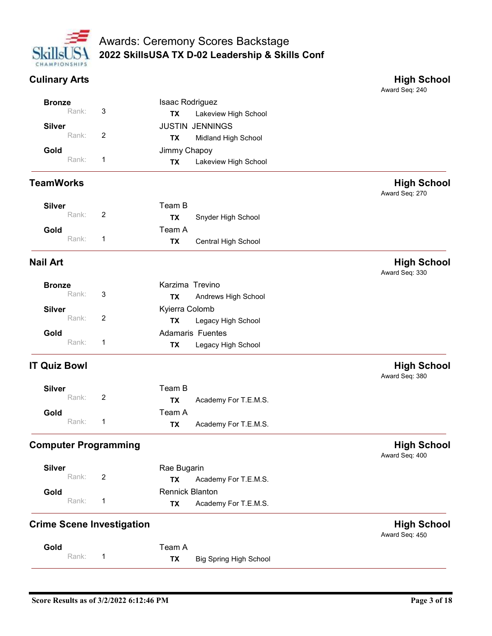

# 2022 SkillsUSA TX D-02 Leadership & Skills Conf Awards: Ceremony Scores Backstage Awards: Ceremony Scores Backstage<br>
CHAMPIONSHIPS<br>
CHAMPIONSHIPS<br>
CULINARY ATS<br>
CULINARY ATS<br>
ENDING SCHOOL SANCE SANCE SANCE SANCE SANCE SANGER SCHOOL Award Seq: 240<br>
Silver JUSTIN JENNINGS

|                                  |                                         | <b>Awards: Ceremony Scores Backstage</b>        |                                      |
|----------------------------------|-----------------------------------------|-------------------------------------------------|--------------------------------------|
| CHAMPIONSHIPS                    |                                         | 2022 SkillsUSA TX D-02 Leadership & Skills Conf |                                      |
| <b>Culinary Arts</b>             |                                         |                                                 | <b>High School</b><br>Award Seq: 240 |
| <b>Bronze</b>                    |                                         | Isaac Rodriguez                                 |                                      |
| Rank:                            | 3<br>TX                                 | Lakeview High School                            |                                      |
| <b>Silver</b><br>Rank:           | $\overline{2}$                          | <b>JUSTIN JENNINGS</b>                          |                                      |
| Gold                             | <b>TX</b><br>Jimmy Chapoy               | Midland High School                             |                                      |
| Rank:                            | $\mathbf{1}$<br><b>TX</b>               | Lakeview High School                            |                                      |
| <b>TeamWorks</b>                 |                                         |                                                 | <b>High School</b>                   |
| <b>Silver</b>                    | Team B                                  |                                                 | Award Seq: 270                       |
| Rank:                            | $\overline{2}$<br><b>TX</b>             | Snyder High School                              |                                      |
| Gold                             | Team A                                  |                                                 |                                      |
| Rank:                            | $\mathbf{1}$<br><b>TX</b>               | Central High School                             |                                      |
| <b>Nail Art</b>                  |                                         |                                                 | <b>High School</b><br>Award Seq: 330 |
| <b>Bronze</b>                    |                                         | Karzima Trevino                                 |                                      |
| Rank:                            | 3<br><b>TX</b>                          | Andrews High School                             |                                      |
| <b>Silver</b>                    | Kyierra Colomb                          |                                                 |                                      |
| Rank:                            | $\sqrt{2}$<br><b>TX</b>                 | Legacy High School                              |                                      |
| Gold<br>Rank:                    | $\overline{1}$                          | Adamaris Fuentes                                |                                      |
|                                  | <b>TX</b>                               | Legacy High School                              |                                      |
| <b>IT Quiz Bowl</b>              |                                         |                                                 | <b>High School</b><br>Award Seq: 380 |
| <b>Silver</b>                    | Team B                                  |                                                 |                                      |
| Rank:                            | $\overline{c}$<br><b>TX</b>             | Academy For T.E.M.S.                            |                                      |
| Gold                             | Team A                                  |                                                 |                                      |
| Rank:                            | $\mathbf{1}$<br><b>TX</b>               | Academy For T.E.M.S.                            |                                      |
| <b>Computer Programming</b>      |                                         |                                                 | <b>High School</b><br>Award Seq: 400 |
| <b>Silver</b>                    | Rae Bugarin                             |                                                 |                                      |
| Rank:                            | $\sqrt{2}$<br><b>TX</b>                 | Academy For T.E.M.S.                            |                                      |
| Gold<br>Rank:                    | $\mathbf{1}$<br><b>TX</b>               | <b>Rennick Blanton</b><br>Academy For T.E.M.S.  |                                      |
|                                  |                                         |                                                 |                                      |
| <b>Crime Scene Investigation</b> |                                         |                                                 | <b>High School</b><br>Award Seq: 450 |
| Gold<br>Rank:                    | Team A<br>$\overline{1}$<br><b>TX</b>   | <b>Big Spring High School</b>                   |                                      |
|                                  |                                         |                                                 |                                      |
|                                  |                                         |                                                 |                                      |
|                                  | Score Results as of 3/2/2022 6:12:46 PM |                                                 | Page 3 of 18                         |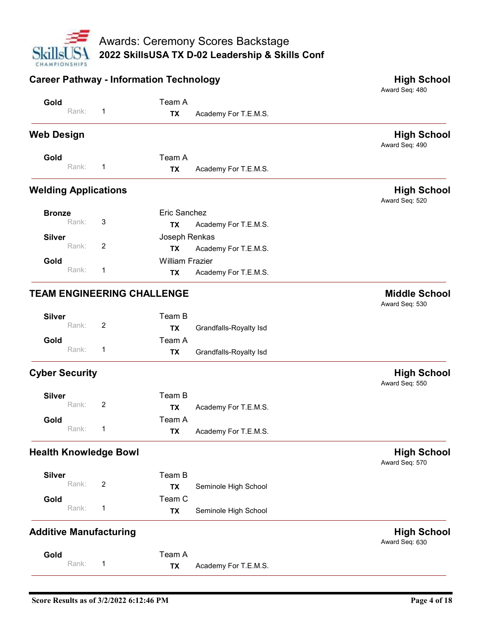

|                                                | Awards: Ceremony Scores Backstage                           |                                      |
|------------------------------------------------|-------------------------------------------------------------|--------------------------------------|
|                                                |                                                             |                                      |
|                                                |                                                             |                                      |
| CHAMPIONSHIPS                                  | 2022 SkillsUSA TX D-02 Leadership & Skills Conf             |                                      |
| <b>Career Pathway - Information Technology</b> |                                                             | <b>High School</b>                   |
| Gold                                           | Team A                                                      | Award Seq: 480                       |
| Rank:                                          | Academy For T.E.M.S.<br><b>TX</b>                           |                                      |
| <b>Web Design</b>                              |                                                             | <b>High School</b>                   |
| Gold                                           | Team A                                                      | Award Seq: 490                       |
| Rank:<br>-1                                    | Academy For T.E.M.S.<br><b>TX</b>                           |                                      |
| <b>Welding Applications</b>                    |                                                             | <b>High School</b><br>Award Seq: 520 |
| <b>Bronze</b><br>3<br>Rank:                    | Eric Sanchez                                                |                                      |
| <b>Silver</b>                                  | Academy For T.E.M.S.<br>TX<br>Joseph Renkas                 |                                      |
| Rank:<br>$\overline{2}$                        | Academy For T.E.M.S.<br><b>TX</b>                           |                                      |
| Gold<br>Rank:<br>$\overline{1}$                | <b>William Frazier</b><br>Academy For T.E.M.S.<br><b>TX</b> |                                      |
| <b>TEAM ENGINEERING CHALLENGE</b>              |                                                             | <b>Middle School</b>                 |
| <b>Silver</b>                                  | Team B                                                      | Award Seq: 530                       |
| $\sqrt{2}$<br>Rank:                            | <b>TX</b><br>Grandfalls-Royalty Isd                         |                                      |
| Gold<br>Rank:<br>$\overline{1}$                | Team A<br>Grandfalls-Royalty Isd<br><b>TX</b>               |                                      |
| <b>Cyber Security</b>                          |                                                             | <b>High School</b>                   |
| <b>Silver</b>                                  | Team B                                                      | Award Seq: 550                       |
| Rank:<br>$\overline{2}$                        | <b>TX</b><br>Academy For T.E.M.S.<br>Team A                 |                                      |
| Gold<br>Rank:<br>-1                            | <b>TX</b><br>Academy For T.E.M.S.                           |                                      |
| <b>Health Knowledge Bowl</b>                   |                                                             | <b>High School</b><br>Award Seq: 570 |
| <b>Silver</b><br>Rank:<br>$\overline{2}$       | Team B                                                      |                                      |
| Gold                                           | Seminole High School<br><b>TX</b><br>Team C                 |                                      |
| Rank:<br>-1                                    | Seminole High School<br><b>TX</b>                           |                                      |
| <b>Additive Manufacturing</b>                  |                                                             | <b>High School</b><br>Award Seq: 630 |
| Gold<br>Rank:<br>$\overline{1}$                | Team A                                                      |                                      |
|                                                | Academy For T.E.M.S.<br><b>TX</b>                           |                                      |
| Score Results as of 3/2/2022 6:12:46 PM        |                                                             |                                      |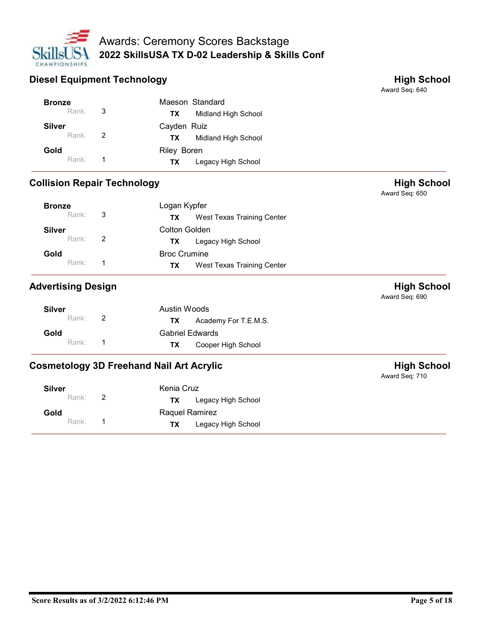

|                                    |                         | <b>Awards: Ceremony Scores Backstage</b>        |                                      |
|------------------------------------|-------------------------|-------------------------------------------------|--------------------------------------|
| CHAMPIONSHIPS                      |                         | 2022 SkillsUSA TX D-02 Leadership & Skills Conf |                                      |
| <b>Diesel Equipment Technology</b> |                         |                                                 | <b>High School</b><br>Award Seq: 640 |
| <b>Bronze</b>                      |                         | Maeson Standard                                 |                                      |
| Rank:                              | 3                       | Midland High School<br><b>TX</b>                |                                      |
|                                    |                         | Cayden Ruiz                                     |                                      |
| <b>Silver</b>                      |                         |                                                 |                                      |
| Rank:                              | 2                       | Midland High School<br><b>TX</b>                |                                      |
| Gold                               |                         | Riley Boren                                     |                                      |
| Rank:                              | $\overline{\mathbf{1}}$ | <b>TX</b><br>Legacy High School                 |                                      |
| <b>Collision Repair Technology</b> |                         |                                                 | <b>High School</b><br>Award Seq: 650 |
| <b>Bronze</b>                      |                         | Logan Kypfer                                    |                                      |
| Rank:                              | 3                       | West Texas Training Center<br><b>TX</b>         |                                      |

|                                    |       |                | Diesel Equipment Technology                     |                            | <b>High School</b><br>Award Seq: 640 |
|------------------------------------|-------|----------------|-------------------------------------------------|----------------------------|--------------------------------------|
| <b>Bronze</b>                      |       |                |                                                 | Maeson Standard            |                                      |
|                                    | Rank: | $\mathbf{3}$   | <b>TX</b>                                       | Midland High School        |                                      |
| <b>Silver</b>                      |       |                | Cayden Ruiz                                     |                            |                                      |
|                                    | Rank: | $\overline{2}$ | <b>TX</b>                                       | Midland High School        |                                      |
| Gold                               |       |                | <b>Riley Boren</b>                              |                            |                                      |
|                                    | Rank: | $\overline{1}$ | <b>TX</b>                                       | Legacy High School         |                                      |
| <b>Collision Repair Technology</b> |       |                |                                                 |                            | <b>High School</b><br>Award Seq: 650 |
| <b>Bronze</b>                      |       |                | Logan Kypfer                                    |                            |                                      |
|                                    | Rank: | 3              | <b>TX</b>                                       | West Texas Training Center |                                      |
| <b>Silver</b>                      |       |                | <b>Colton Golden</b>                            |                            |                                      |
|                                    | Rank: | $\overline{2}$ | <b>TX</b>                                       | Legacy High School         |                                      |
| Gold                               |       |                | <b>Broc Crumine</b>                             |                            |                                      |
|                                    | Rank: | $\overline{1}$ | TX                                              | West Texas Training Center |                                      |
| <b>Advertising Design</b>          |       |                |                                                 |                            | <b>High School</b><br>Award Seq: 690 |
| <b>Silver</b>                      |       |                | <b>Austin Woods</b>                             |                            |                                      |
|                                    | Rank: | 2              | TX                                              | Academy For T.E.M.S.       |                                      |
| Gold                               |       |                | <b>Gabriel Edwards</b>                          |                            |                                      |
|                                    | Rank: | $\overline{1}$ | <b>TX</b>                                       | Cooper High School         |                                      |
|                                    |       |                | <b>Cosmetology 3D Freehand Nail Art Acrylic</b> |                            | <b>High School</b><br>Award Seq: 710 |
| <b>Silver</b>                      |       |                | Kenia Cruz                                      |                            |                                      |
|                                    | Rank: | $\overline{2}$ | TX                                              | Legacy High School         |                                      |
| Gold                               |       |                | Raquel Ramirez                                  |                            |                                      |

| Silver               | Austin Woods                 |
|----------------------|------------------------------|
| Rank: $\overline{2}$ | Academy For T.E.M.S.<br>TX T |
| Gold                 | <b>Gabriel Edwards</b>       |
| Rank: 1              | Cooper High School<br>TX.    |

| Kenia Cruz<br><b>Silver</b><br>Rank:<br>$\overline{2}$<br>Legacy High School<br><b>TX</b><br>Raquel Ramirez<br>Gold<br>Rank:<br>$\overline{1}$<br>Legacy High School<br><b>TX</b><br>Page 5 of 18 |  |  |  | . . |
|---------------------------------------------------------------------------------------------------------------------------------------------------------------------------------------------------|--|--|--|-----|
| Score Results as of 3/2/2022 6:12:46 PM                                                                                                                                                           |  |  |  |     |
|                                                                                                                                                                                                   |  |  |  |     |
|                                                                                                                                                                                                   |  |  |  |     |
|                                                                                                                                                                                                   |  |  |  |     |
|                                                                                                                                                                                                   |  |  |  |     |
|                                                                                                                                                                                                   |  |  |  |     |
|                                                                                                                                                                                                   |  |  |  |     |
|                                                                                                                                                                                                   |  |  |  |     |
|                                                                                                                                                                                                   |  |  |  |     |
|                                                                                                                                                                                                   |  |  |  |     |
|                                                                                                                                                                                                   |  |  |  |     |
|                                                                                                                                                                                                   |  |  |  |     |
|                                                                                                                                                                                                   |  |  |  |     |
|                                                                                                                                                                                                   |  |  |  |     |
|                                                                                                                                                                                                   |  |  |  |     |
|                                                                                                                                                                                                   |  |  |  |     |
|                                                                                                                                                                                                   |  |  |  |     |
|                                                                                                                                                                                                   |  |  |  |     |
|                                                                                                                                                                                                   |  |  |  |     |
|                                                                                                                                                                                                   |  |  |  |     |
|                                                                                                                                                                                                   |  |  |  |     |
|                                                                                                                                                                                                   |  |  |  |     |
|                                                                                                                                                                                                   |  |  |  |     |
|                                                                                                                                                                                                   |  |  |  |     |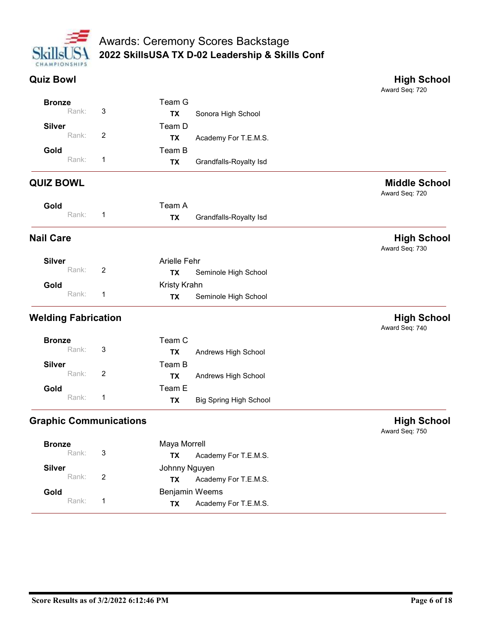

|                            |                |              | <b>Awards: Ceremony Scores Backstage</b>        |                                        |
|----------------------------|----------------|--------------|-------------------------------------------------|----------------------------------------|
| <b>CHAMPIONSHIPS</b>       |                |              | 2022 SkillsUSA TX D-02 Leadership & Skills Conf |                                        |
|                            |                |              |                                                 |                                        |
| <b>Quiz Bowl</b>           |                |              |                                                 | <b>High School</b><br>Award Seq: 720   |
| <b>Bronze</b>              |                | Team G       |                                                 |                                        |
| Rank:                      | $\mathbf{3}$   | <b>TX</b>    | Sonora High School                              |                                        |
| <b>Silver</b>              |                | Team D       |                                                 |                                        |
| Rank:                      | 2              | <b>TX</b>    | Academy For T.E.M.S.                            |                                        |
| Gold                       |                | Team B       |                                                 |                                        |
| Rank:                      | $\overline{1}$ | <b>TX</b>    | Grandfalls-Royalty Isd                          |                                        |
| <b>QUIZ BOWL</b>           |                |              |                                                 | <b>Middle School</b><br>Award Seq: 720 |
| Gold                       |                | Team A       |                                                 |                                        |
| Rank:                      | -1             | <b>TX</b>    | Grandfalls-Royalty Isd                          |                                        |
| <b>Nail Care</b>           |                |              |                                                 | <b>High School</b><br>Award Seq: 730   |
| <b>Silver</b>              |                | Arielle Fehr |                                                 |                                        |
| Rank:                      | $\overline{2}$ | <b>TX</b>    | Seminole High School                            |                                        |
| Gold                       |                | Kristy Krahn |                                                 |                                        |
| Rank:                      | $\overline{1}$ | <b>TX</b>    | Seminole High School                            |                                        |
| <b>Welding Fabrication</b> |                |              |                                                 | <b>High School</b><br>Award Seq: 740   |
| <b>Bronze</b>              |                | Team C       |                                                 |                                        |
| Rank:                      | $\sqrt{3}$     | <b>TX</b>    | Andrews High School                             |                                        |
| <b>Silver</b>              |                | Team B       |                                                 |                                        |

|       |           | Award Seq: 720         |
|-------|-----------|------------------------|
| Gold  | Team A    |                        |
| Rank: | <b>TX</b> | Grandfalls-Royalty Isd |
|       |           |                        |

| <b>Silver</b> |                | Arielle Fehr                |
|---------------|----------------|-----------------------------|
| Rank:         | $\overline{2}$ | Seminole High School<br>TX. |
| Gold          |                | Kristy Krahn                |
| Rank:         | $\blacksquare$ | Seminole High School<br>TX. |

|                               | Rank: | $\overline{1}$ | <b>TX</b>     | Grandfalls-Royalty Isd        |                                      |
|-------------------------------|-------|----------------|---------------|-------------------------------|--------------------------------------|
| <b>Nail Care</b>              |       |                |               |                               | <b>High School</b><br>Award Seq: 730 |
| <b>Silver</b>                 |       |                | Arielle Fehr  |                               |                                      |
|                               | Rank: | $\overline{2}$ | TX            | Seminole High School          |                                      |
| Gold                          |       |                | Kristy Krahn  |                               |                                      |
|                               | Rank: | $\overline{1}$ | <b>TX</b>     | Seminole High School          |                                      |
| <b>Welding Fabrication</b>    |       |                |               |                               | <b>High School</b><br>Award Seq: 740 |
| <b>Bronze</b>                 |       |                | Team C        |                               |                                      |
|                               | Rank: | $\mathbf{3}$   | <b>TX</b>     | Andrews High School           |                                      |
| <b>Silver</b>                 |       |                | Team B        |                               |                                      |
|                               | Rank: | $\overline{2}$ | <b>TX</b>     | Andrews High School           |                                      |
| Gold                          |       |                | Team E        |                               |                                      |
|                               | Rank: | $\overline{1}$ | <b>TX</b>     | <b>Big Spring High School</b> |                                      |
| <b>Graphic Communications</b> |       |                |               |                               | <b>High School</b><br>Award Seq: 750 |
| <b>Bronze</b>                 |       |                | Maya Morrell  |                               |                                      |
|                               | Rank: | $\sqrt{3}$     | <b>TX</b>     | Academy For T.E.M.S.          |                                      |
| <b>Silver</b>                 |       |                | Johnny Nguyen |                               |                                      |

| <b>High School</b><br><b>Graphic Communications</b><br>Award Seq: 750<br>Maya Morrell<br><b>Bronze</b><br>$\mathbf{3}$<br>Rank:<br>Academy For T.E.M.S.<br><b>TX</b><br>Johnny Nguyen<br><b>Silver</b><br>Rank:<br>$\overline{2}$<br>Academy For T.E.M.S.<br><b>TX</b><br>Benjamin Weems<br>Gold<br>Rank:<br>$\overline{1}$<br>Academy For T.E.M.S.<br><b>TX</b><br>Page 6 of 18 | $ -$<br>Rank: | $\overline{1}$ | <b>TX</b> | <b>Big Spring High School</b> |  |
|----------------------------------------------------------------------------------------------------------------------------------------------------------------------------------------------------------------------------------------------------------------------------------------------------------------------------------------------------------------------------------|---------------|----------------|-----------|-------------------------------|--|
|                                                                                                                                                                                                                                                                                                                                                                                  |               |                |           |                               |  |
| Score Results as of 3/2/2022 6:12:46 PM                                                                                                                                                                                                                                                                                                                                          |               |                |           |                               |  |
|                                                                                                                                                                                                                                                                                                                                                                                  |               |                |           |                               |  |
|                                                                                                                                                                                                                                                                                                                                                                                  |               |                |           |                               |  |
|                                                                                                                                                                                                                                                                                                                                                                                  |               |                |           |                               |  |
|                                                                                                                                                                                                                                                                                                                                                                                  |               |                |           |                               |  |
|                                                                                                                                                                                                                                                                                                                                                                                  |               |                |           |                               |  |
|                                                                                                                                                                                                                                                                                                                                                                                  |               |                |           |                               |  |
|                                                                                                                                                                                                                                                                                                                                                                                  |               |                |           |                               |  |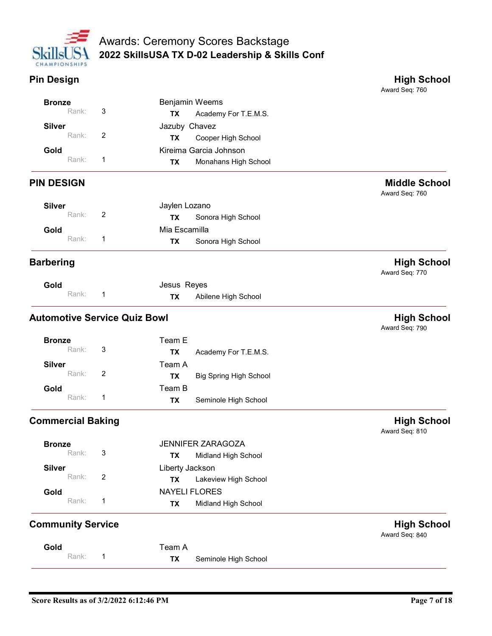

| <b>High Schoo</b> |
|-------------------|
|                   |

| <b>Awards: Ceremony Scores Backstage</b><br>2022 SkillsUSA TX D-02 Leadership & Skills Conf<br>CHAMPIONSHIPS<br>Award Seq: 760<br>Benjamin Weems<br><b>Bronze</b><br>Rank:<br>3<br>Academy For T.E.M.S.<br><b>TX</b><br>Jazuby Chavez<br><b>Silver</b><br>$\overline{2}$<br>Rank:<br>Cooper High School<br><b>TX</b><br>Kireima Garcia Johnson<br>Gold<br>Rank:<br>-1<br><b>TX</b><br>Monahans High School<br>Award Seq: 760<br><b>Silver</b><br>Jaylen Lozano<br>Rank:<br>$\overline{2}$<br>Sonora High School<br><b>TX</b><br>Mia Escamilla<br>Gold<br>Rank:<br>$\overline{1}$<br>Sonora High School<br><b>TX</b><br><b>High School</b><br>Award Seq: 770<br>Jesus Reyes<br>Gold<br>Rank:<br>$\mathbf{1}$<br>Abilene High School<br><b>TX</b><br>Award Seq: 790<br>Team E<br><b>Bronze</b><br>Rank:<br>$\mathbf{3}$<br><b>TX</b><br>Academy For T.E.M.S.<br><b>Silver</b><br>Team A<br>$\sqrt{2}$<br>Rank:<br>TX<br><b>Big Spring High School</b><br>Team B<br>Gold<br>Rank:<br>$\mathbf{1}$<br>Seminole High School<br><b>TX</b><br>Award Seq: 810<br>JENNIFER ZARAGOZA<br><b>Bronze</b><br>Rank:<br>$\sqrt{3}$<br><b>TX</b><br>Midland High School<br><b>Silver</b><br>Liberty Jackson<br>Rank:<br>$\overline{2}$<br>Lakeview High School<br><b>TX</b><br><b>NAYELI FLORES</b><br>Gold<br>Rank:<br>$\mathbf{1}$<br>Midland High School<br><b>TX</b><br>Award Seq: 840<br>Team A<br>Gold<br>Rank:<br>$\mathbf{1}$<br>Seminole High School<br><b>TX</b> |  |                      |
|-----------------------------------------------------------------------------------------------------------------------------------------------------------------------------------------------------------------------------------------------------------------------------------------------------------------------------------------------------------------------------------------------------------------------------------------------------------------------------------------------------------------------------------------------------------------------------------------------------------------------------------------------------------------------------------------------------------------------------------------------------------------------------------------------------------------------------------------------------------------------------------------------------------------------------------------------------------------------------------------------------------------------------------------------------------------------------------------------------------------------------------------------------------------------------------------------------------------------------------------------------------------------------------------------------------------------------------------------------------------------------------------------------------------------------------------------------------|--|----------------------|
|                                                                                                                                                                                                                                                                                                                                                                                                                                                                                                                                                                                                                                                                                                                                                                                                                                                                                                                                                                                                                                                                                                                                                                                                                                                                                                                                                                                                                                                           |  |                      |
|                                                                                                                                                                                                                                                                                                                                                                                                                                                                                                                                                                                                                                                                                                                                                                                                                                                                                                                                                                                                                                                                                                                                                                                                                                                                                                                                                                                                                                                           |  |                      |
|                                                                                                                                                                                                                                                                                                                                                                                                                                                                                                                                                                                                                                                                                                                                                                                                                                                                                                                                                                                                                                                                                                                                                                                                                                                                                                                                                                                                                                                           |  |                      |
| <b>Pin Design</b><br><b>PIN DESIGN</b><br><b>Barbering</b><br><b>Automotive Service Quiz Bowl</b><br><b>Commercial Baking</b><br><b>Community Service</b>                                                                                                                                                                                                                                                                                                                                                                                                                                                                                                                                                                                                                                                                                                                                                                                                                                                                                                                                                                                                                                                                                                                                                                                                                                                                                                 |  |                      |
|                                                                                                                                                                                                                                                                                                                                                                                                                                                                                                                                                                                                                                                                                                                                                                                                                                                                                                                                                                                                                                                                                                                                                                                                                                                                                                                                                                                                                                                           |  |                      |
|                                                                                                                                                                                                                                                                                                                                                                                                                                                                                                                                                                                                                                                                                                                                                                                                                                                                                                                                                                                                                                                                                                                                                                                                                                                                                                                                                                                                                                                           |  | <b>High School</b>   |
|                                                                                                                                                                                                                                                                                                                                                                                                                                                                                                                                                                                                                                                                                                                                                                                                                                                                                                                                                                                                                                                                                                                                                                                                                                                                                                                                                                                                                                                           |  |                      |
|                                                                                                                                                                                                                                                                                                                                                                                                                                                                                                                                                                                                                                                                                                                                                                                                                                                                                                                                                                                                                                                                                                                                                                                                                                                                                                                                                                                                                                                           |  |                      |
|                                                                                                                                                                                                                                                                                                                                                                                                                                                                                                                                                                                                                                                                                                                                                                                                                                                                                                                                                                                                                                                                                                                                                                                                                                                                                                                                                                                                                                                           |  |                      |
|                                                                                                                                                                                                                                                                                                                                                                                                                                                                                                                                                                                                                                                                                                                                                                                                                                                                                                                                                                                                                                                                                                                                                                                                                                                                                                                                                                                                                                                           |  |                      |
|                                                                                                                                                                                                                                                                                                                                                                                                                                                                                                                                                                                                                                                                                                                                                                                                                                                                                                                                                                                                                                                                                                                                                                                                                                                                                                                                                                                                                                                           |  |                      |
|                                                                                                                                                                                                                                                                                                                                                                                                                                                                                                                                                                                                                                                                                                                                                                                                                                                                                                                                                                                                                                                                                                                                                                                                                                                                                                                                                                                                                                                           |  | <b>Middle School</b> |
|                                                                                                                                                                                                                                                                                                                                                                                                                                                                                                                                                                                                                                                                                                                                                                                                                                                                                                                                                                                                                                                                                                                                                                                                                                                                                                                                                                                                                                                           |  |                      |
|                                                                                                                                                                                                                                                                                                                                                                                                                                                                                                                                                                                                                                                                                                                                                                                                                                                                                                                                                                                                                                                                                                                                                                                                                                                                                                                                                                                                                                                           |  |                      |
|                                                                                                                                                                                                                                                                                                                                                                                                                                                                                                                                                                                                                                                                                                                                                                                                                                                                                                                                                                                                                                                                                                                                                                                                                                                                                                                                                                                                                                                           |  |                      |
|                                                                                                                                                                                                                                                                                                                                                                                                                                                                                                                                                                                                                                                                                                                                                                                                                                                                                                                                                                                                                                                                                                                                                                                                                                                                                                                                                                                                                                                           |  |                      |
|                                                                                                                                                                                                                                                                                                                                                                                                                                                                                                                                                                                                                                                                                                                                                                                                                                                                                                                                                                                                                                                                                                                                                                                                                                                                                                                                                                                                                                                           |  |                      |
|                                                                                                                                                                                                                                                                                                                                                                                                                                                                                                                                                                                                                                                                                                                                                                                                                                                                                                                                                                                                                                                                                                                                                                                                                                                                                                                                                                                                                                                           |  |                      |
|                                                                                                                                                                                                                                                                                                                                                                                                                                                                                                                                                                                                                                                                                                                                                                                                                                                                                                                                                                                                                                                                                                                                                                                                                                                                                                                                                                                                                                                           |  |                      |
|                                                                                                                                                                                                                                                                                                                                                                                                                                                                                                                                                                                                                                                                                                                                                                                                                                                                                                                                                                                                                                                                                                                                                                                                                                                                                                                                                                                                                                                           |  | <b>High School</b>   |
|                                                                                                                                                                                                                                                                                                                                                                                                                                                                                                                                                                                                                                                                                                                                                                                                                                                                                                                                                                                                                                                                                                                                                                                                                                                                                                                                                                                                                                                           |  |                      |
|                                                                                                                                                                                                                                                                                                                                                                                                                                                                                                                                                                                                                                                                                                                                                                                                                                                                                                                                                                                                                                                                                                                                                                                                                                                                                                                                                                                                                                                           |  |                      |
|                                                                                                                                                                                                                                                                                                                                                                                                                                                                                                                                                                                                                                                                                                                                                                                                                                                                                                                                                                                                                                                                                                                                                                                                                                                                                                                                                                                                                                                           |  |                      |
|                                                                                                                                                                                                                                                                                                                                                                                                                                                                                                                                                                                                                                                                                                                                                                                                                                                                                                                                                                                                                                                                                                                                                                                                                                                                                                                                                                                                                                                           |  |                      |
|                                                                                                                                                                                                                                                                                                                                                                                                                                                                                                                                                                                                                                                                                                                                                                                                                                                                                                                                                                                                                                                                                                                                                                                                                                                                                                                                                                                                                                                           |  |                      |
|                                                                                                                                                                                                                                                                                                                                                                                                                                                                                                                                                                                                                                                                                                                                                                                                                                                                                                                                                                                                                                                                                                                                                                                                                                                                                                                                                                                                                                                           |  | <b>High School</b>   |
|                                                                                                                                                                                                                                                                                                                                                                                                                                                                                                                                                                                                                                                                                                                                                                                                                                                                                                                                                                                                                                                                                                                                                                                                                                                                                                                                                                                                                                                           |  |                      |
|                                                                                                                                                                                                                                                                                                                                                                                                                                                                                                                                                                                                                                                                                                                                                                                                                                                                                                                                                                                                                                                                                                                                                                                                                                                                                                                                                                                                                                                           |  |                      |
|                                                                                                                                                                                                                                                                                                                                                                                                                                                                                                                                                                                                                                                                                                                                                                                                                                                                                                                                                                                                                                                                                                                                                                                                                                                                                                                                                                                                                                                           |  |                      |
|                                                                                                                                                                                                                                                                                                                                                                                                                                                                                                                                                                                                                                                                                                                                                                                                                                                                                                                                                                                                                                                                                                                                                                                                                                                                                                                                                                                                                                                           |  |                      |
|                                                                                                                                                                                                                                                                                                                                                                                                                                                                                                                                                                                                                                                                                                                                                                                                                                                                                                                                                                                                                                                                                                                                                                                                                                                                                                                                                                                                                                                           |  |                      |
|                                                                                                                                                                                                                                                                                                                                                                                                                                                                                                                                                                                                                                                                                                                                                                                                                                                                                                                                                                                                                                                                                                                                                                                                                                                                                                                                                                                                                                                           |  | <b>High School</b>   |
|                                                                                                                                                                                                                                                                                                                                                                                                                                                                                                                                                                                                                                                                                                                                                                                                                                                                                                                                                                                                                                                                                                                                                                                                                                                                                                                                                                                                                                                           |  |                      |
|                                                                                                                                                                                                                                                                                                                                                                                                                                                                                                                                                                                                                                                                                                                                                                                                                                                                                                                                                                                                                                                                                                                                                                                                                                                                                                                                                                                                                                                           |  |                      |
|                                                                                                                                                                                                                                                                                                                                                                                                                                                                                                                                                                                                                                                                                                                                                                                                                                                                                                                                                                                                                                                                                                                                                                                                                                                                                                                                                                                                                                                           |  |                      |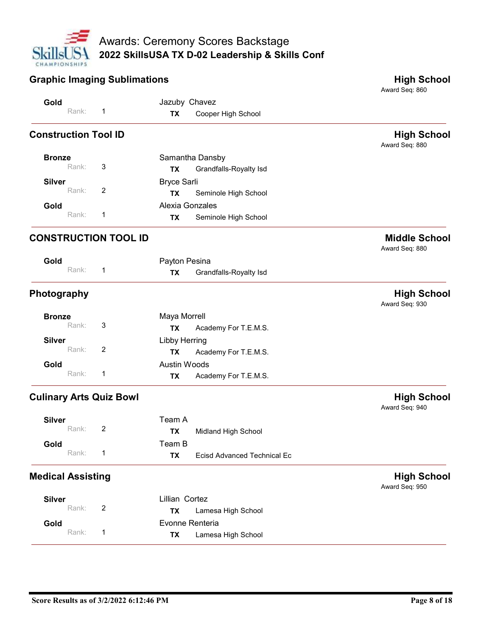

| CHAMPIONSHIPS                            | Awards: Ceremony Scores Backstage<br>2022 SkillsUSA TX D-02 Leadership & Skills Conf |                                        |
|------------------------------------------|--------------------------------------------------------------------------------------|----------------------------------------|
| <b>Graphic Imaging Sublimations</b>      |                                                                                      | <b>High School</b>                     |
| Gold                                     | Jazuby Chavez                                                                        | Award Seq: 860                         |
| Rank:                                    | Cooper High School<br><b>TX</b>                                                      |                                        |
| <b>Construction Tool ID</b>              |                                                                                      | <b>High School</b><br>Award Seq: 880   |
| <b>Bronze</b><br>Rank:<br>3              | Samantha Dansby<br>Grandfalls-Royalty Isd<br><b>TX</b>                               |                                        |
| <b>Silver</b>                            | <b>Bryce Sarli</b>                                                                   |                                        |
| Rank:<br>$\overline{2}$                  | Seminole High School<br>TX                                                           |                                        |
| Gold<br>Rank:<br>-1                      | Alexia Gonzales<br>Seminole High School<br><b>TX</b>                                 |                                        |
| <b>CONSTRUCTION TOOL ID</b>              |                                                                                      | <b>Middle School</b><br>Award Seq: 880 |
| Gold                                     | Payton Pesina                                                                        |                                        |
| Rank:<br>$\mathbf{1}$                    | Grandfalls-Royalty Isd<br><b>TX</b>                                                  |                                        |
| Photography                              |                                                                                      | <b>High School</b><br>Award Seq: 930   |
| <b>Bronze</b><br>$\sqrt{3}$<br>Rank:     | Maya Morrell<br>Academy For T.E.M.S.<br><b>TX</b>                                    |                                        |
| <b>Silver</b>                            | Libby Herring                                                                        |                                        |
| Rank:<br>$\overline{2}$                  | Academy For T.E.M.S.<br><b>TX</b>                                                    |                                        |
| Gold<br>Rank:<br>$\mathbf{1}$            | Austin Woods<br>Academy For T.E.M.S.<br>TX                                           |                                        |
| <b>Culinary Arts Quiz Bowl</b>           |                                                                                      | <b>High School</b><br>Award Seq: 940   |
| <b>Silver</b>                            | Team A                                                                               |                                        |
| $\overline{2}$<br>Rank:                  | Midland High School<br><b>TX</b>                                                     |                                        |
| Gold<br>Rank:<br>$\mathbf{1}$            | Team B<br><b>Ecisd Advanced Technical Ec</b><br><b>TX</b>                            |                                        |
| <b>Medical Assisting</b>                 |                                                                                      | <b>High School</b><br>Award Seq: 950   |
| <b>Silver</b><br>$\overline{2}$<br>Rank: | Lillian Cortez                                                                       |                                        |
| Gold                                     | Lamesa High School<br>TX<br>Evonne Renteria                                          |                                        |
| Rank:<br>$\mathbf{1}$                    | Lamesa High School<br>TX                                                             |                                        |
|                                          |                                                                                      |                                        |
|                                          |                                                                                      |                                        |
| Score Results as of 3/2/2022 6:12:46 PM  |                                                                                      | Page 8 of 18                           |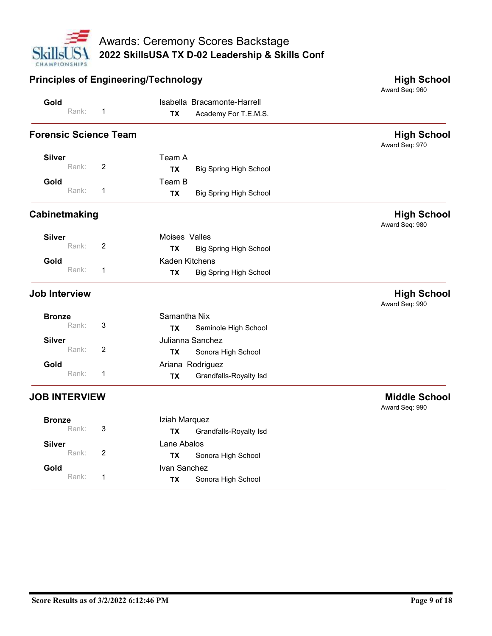

|                              | <b>Principles of Engineering/Technology</b>                            | 2022 SkillsUSA TX D-02 Leadership & Skills Conf<br><b>High School</b> |
|------------------------------|------------------------------------------------------------------------|-----------------------------------------------------------------------|
|                              |                                                                        | Award Seq: 960                                                        |
| Gold<br>Rank:                | Isabella Bracamonte-Harrell<br>-1<br>Academy For T.E.M.S.<br><b>TX</b> |                                                                       |
| <b>Forensic Science Team</b> |                                                                        | <b>High School</b><br>Award Seq: 970                                  |
| <b>Silver</b>                | Team A                                                                 |                                                                       |
| Rank:                        | $\overline{2}$<br><b>Big Spring High School</b><br><b>TX</b>           |                                                                       |
| Gold<br>Rank:                | Team B<br>-1<br><b>Big Spring High School</b><br><b>TX</b>             |                                                                       |
| Cabinetmaking                |                                                                        | <b>High School</b><br>Award Seq: 980                                  |
| <b>Silver</b>                | Moises Valles                                                          |                                                                       |
| Rank:                        | $\overline{2}$<br><b>Big Spring High School</b><br><b>TX</b>           |                                                                       |
| Gold<br>Rank:                | Kaden Kitchens<br>$\overline{1}$                                       |                                                                       |
| Job Interview                | <b>Big Spring High School</b><br><b>TX</b>                             | <b>High School</b>                                                    |
|                              |                                                                        | Award Seq: 990                                                        |
| <b>Bronze</b><br>Rank:       | Samantha Nix<br>$\mathbf{3}$<br><b>TX</b><br>Seminole High School      |                                                                       |
| <b>Silver</b>                | Julianna Sanchez                                                       |                                                                       |
| Rank:                        | $\overline{2}$<br>Sonora High School<br><b>TX</b>                      |                                                                       |
| Gold<br>Rank:                | Ariana Rodriguez<br>$\mathbf{1}$                                       |                                                                       |
|                              | Grandfalls-Royalty Isd<br><b>TX</b>                                    |                                                                       |
| <b>JOB INTERVIEW</b>         |                                                                        | <b>Middle School</b><br>Award Seq: 990                                |
| <b>Bronze</b>                | Iziah Marquez                                                          |                                                                       |
| Rank:                        | $\mathbf{3}$<br>Grandfalls-Royalty Isd<br><b>TX</b>                    |                                                                       |
| <b>Silver</b><br>Rank:       | Lane Abalos<br>$\overline{2}$<br>Sonora High School<br><b>TX</b>       |                                                                       |
| Gold                         | Ivan Sanchez                                                           |                                                                       |
| Rank:                        | $\overline{1}$<br>Sonora High School<br><b>TX</b>                      |                                                                       |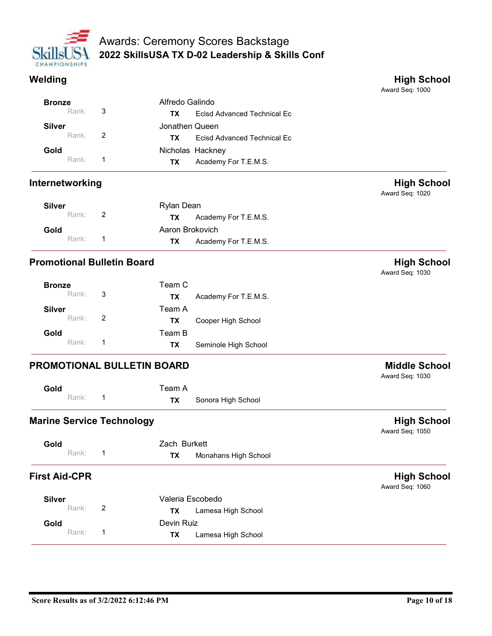

|                                   |                          | <b>Awards: Ceremony Scores Backstage</b>              |                                       |
|-----------------------------------|--------------------------|-------------------------------------------------------|---------------------------------------|
|                                   |                          | 2022 SkillsUSA TX D-02 Leadership & Skills Conf       |                                       |
| CHAMPIONSHIPS                     |                          |                                                       |                                       |
| Welding                           |                          |                                                       | <b>High School</b>                    |
|                                   |                          |                                                       | Award Seq: 1000                       |
| <b>Bronze</b>                     |                          | Alfredo Galindo                                       |                                       |
| Rank:                             | 3                        | <b>Ecisd Advanced Technical Ec</b><br>TX              |                                       |
| <b>Silver</b><br>Rank:            | 2                        | Jonathen Queen                                        |                                       |
|                                   |                          | <b>Ecisd Advanced Technical Ec</b><br><b>TX</b>       |                                       |
| Gold<br>Rank:                     | -1                       | Nicholas Hackney<br>Academy For T.E.M.S.<br><b>TX</b> |                                       |
|                                   |                          |                                                       |                                       |
| Internetworking                   |                          |                                                       | <b>High School</b><br>Award Seq: 1020 |
| <b>Silver</b>                     |                          | Rylan Dean                                            |                                       |
| Rank:                             | 2                        | Academy For T.E.M.S.<br>TX                            |                                       |
| Gold                              |                          | Aaron Brokovich                                       |                                       |
| Rank:                             | $\overline{\phantom{1}}$ | Academy For T.E.M.S.<br><b>TX</b>                     |                                       |
| <b>Promotional Bulletin Board</b> |                          |                                                       | <b>High School</b><br>Award Seq: 1030 |
| <b>Bronze</b>                     |                          | Team C                                                |                                       |
| Rank:                             | $\mathbf{3}$             | <b>TX</b><br>Academy For T.E.M.S.                     |                                       |
| <b>Silver</b>                     |                          | Team A                                                |                                       |

| <b>Silver</b> |                | Rylan Dean                  |
|---------------|----------------|-----------------------------|
| Rank: 2       |                | Academy For T.E.M.S.<br>TX. |
| Gold          |                | Aaron Brokovich             |
| Rank:         | $\overline{1}$ | Academy For T.E.M.S.<br>TX. |

| Rank:                             | $\overline{1}$ | <b>TX</b>         | Academy For T.E.M.S. |                                         |
|-----------------------------------|----------------|-------------------|----------------------|-----------------------------------------|
| Internetworking                   |                |                   |                      | <b>High School</b><br>Award Seq: 1020   |
| <b>Silver</b>                     |                | <b>Rylan Dean</b> |                      |                                         |
| Rank:                             | $\overline{2}$ | <b>TX</b>         | Academy For T.E.M.S. |                                         |
| Gold                              |                | Aaron Brokovich   |                      |                                         |
| Rank:                             | $\overline{1}$ | <b>TX</b>         | Academy For T.E.M.S. |                                         |
| <b>Promotional Bulletin Board</b> |                |                   |                      | <b>High School</b><br>Award Seq: 1030   |
| <b>Bronze</b>                     |                | Team C            |                      |                                         |
| Rank:                             | 3              | TX                | Academy For T.E.M.S. |                                         |
| <b>Silver</b>                     |                | Team A            |                      |                                         |
| Rank:                             | 2              | <b>TX</b>         | Cooper High School   |                                         |
| Gold                              |                | Team B            |                      |                                         |
| Rank:                             | $\overline{1}$ | <b>TX</b>         | Seminole High School |                                         |
| PROMOTIONAL BULLETIN BOARD        |                |                   |                      | <b>Middle School</b><br>Award Seq: 1030 |
| Gold                              |                | Team A            |                      |                                         |
| Rank:                             | $\overline{1}$ | <b>TX</b>         | Sonora High School   |                                         |
| <b>Marine Service Technology</b>  |                |                   |                      | <b>High School</b><br>Award Seq: 1050   |
| Gold                              |                | Zach Burkett      |                      |                                         |
| Rank:                             | $\overline{1}$ | <b>TX</b>         | Monahans High School |                                         |
| .                                 |                |                   |                      | .                                       |

| Gold    | Team A    |                    |
|---------|-----------|--------------------|
| Rank: 1 | <b>TX</b> | Sonora High School |

|                                         |                |                  |                      | Award Seq: 1030                         |
|-----------------------------------------|----------------|------------------|----------------------|-----------------------------------------|
| <b>Bronze</b>                           |                | Team C           |                      |                                         |
| Rank:                                   | 3              | <b>TX</b>        | Academy For T.E.M.S. |                                         |
| <b>Silver</b>                           |                | Team A           |                      |                                         |
| Rank:                                   | $\overline{2}$ | <b>TX</b>        | Cooper High School   |                                         |
| Gold                                    |                | Team B           |                      |                                         |
| Rank:                                   | $\overline{1}$ | <b>TX</b>        | Seminole High School |                                         |
| PROMOTIONAL BULLETIN BOARD              |                |                  |                      | <b>Middle School</b><br>Award Seq: 1030 |
| Gold                                    |                | Team A           |                      |                                         |
| Rank:                                   | $\overline{1}$ | <b>TX</b>        | Sonora High School   |                                         |
| <b>Marine Service Technology</b>        |                |                  |                      | <b>High School</b><br>Award Seq: 1050   |
| Gold                                    |                | Zach Burkett     |                      |                                         |
| Rank:                                   | $\overline{1}$ | <b>TX</b>        | Monahans High School |                                         |
| <b>First Aid-CPR</b>                    |                |                  |                      | <b>High School</b><br>Award Seq: 1060   |
| <b>Silver</b>                           |                | Valeria Escobedo |                      |                                         |
| Rank:                                   | $\overline{2}$ | <b>TX</b>        | Lamesa High School   |                                         |
| Gold                                    |                | Devin Ruiz       |                      |                                         |
| Rank:                                   | $\overline{1}$ | <b>TX</b>        | Lamesa High School   |                                         |
|                                         |                |                  |                      |                                         |
| Score Results as of 3/2/2022 6:12:46 PM |                |                  |                      | Page 10 of 18                           |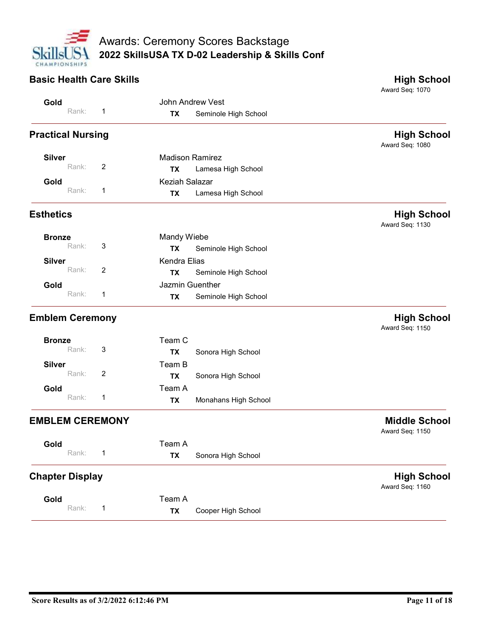

# Awards: Ceremony Scores Backstage<br>
Skills JSJ 2022 Skills USA TX D-02 Leadership & Skills Conf<br>
Basic Health Care Skills<br>
Gold Rank: 1 TX Seminole High School<br>
TX Seminole High School<br>
TX Seminole High School<br>
TX Seminole Award Seq: 1070 John Andrew Vest Gold Rank: 1 **TX** Seminole High School **Properties Americal Nursing Condition**<br>
Cold Rank: 1 Madison Ramirez<br>
Cold Rank: 1 Madison Ramirez<br>
Rank: 2 Madison Ramirez<br>
Rank: 2 Madison Ramirez<br>
Rank: 2 Madison Ramirez<br>
Rank: 2 Madison Ramirez<br>
Rank: 2 Madison Ramir Award Seq: 1080 Madison Ramirez Rank: 2 **TX Lamesa High School Silver**<br>Rank: 2 Keziah Salazar Gold Rank: 1 **TX Lamesa High School** Estherics Hank: 3 Mardy Wiebe Hank: 3 Mardy Wiebe Maria Basic Hank: 3 Marty Wiebe Maria Basic Hank: 3 Marty Wiebe Maria Basic Hank: 3 Marty Wiebe Maria Basic Hank: 3 Marty Wiebe Maria Basic Hank: 3 Marty Wiebe Maria Basic Award Seq: 1130 **Bronze** Executive Mandy Wieber and Mandy Wieber and Mandy Wieber and Mandy Milke Mandels and Mandels and Mandels Rank: 3 TX Seminole High School Kendra Elias Rank: 2 **TX** Seminole High School Silver **Gold Gold Guentila Collection Cuentilated Collection Cuentilate Collection Cuentilate Collection Cuentilate Collection Cuentilate Collection Cuentilate Collection Cuentilate Collection Cuentilate Collection Cuentilate** Rank: 1 **TX** Seminole High School Emblem Ceremony<br>
Emblem Ceremon<br>
Emblem Ceremony<br>
Emblem Ceremony<br>
Emblem Ceremony<br>
Emblem Ceremony<br>
Emblem Ceremony<br>
Frank: 3 TX Seminole High School<br>
Rank: 3 TX Seminole High School<br>
Emblem Ceremony<br>
Emblem Ceremony<br>
Emb Award Seq: 1150 Team C Bronze Rank: 3 **TX** Sonora High School Team B Rank: 2 **TX** Sonora High School Silver Team A Gold Monahans High School TX Rank: 1 Exhetics High School<br>
Bronze Rank: 3 Mandy Wiebe<br>
Silver Rank: 2 TX Seminole-High School<br>
EMBLEM CEREMONY Rank: 2 TX Seminole-High School<br>
EMBLEM CEREMONY Rank: 2 TX Sonora High School<br>
Silver Rank: 3 TX Sonora High School Award Seq: 1150 Team A Gold Rank: 1 **TX** Sonora High School Earlie: 2 TX Seminole High School<br>
Earlie: 1 TX Seminole High School<br>
Earlie: 1 TX Seminole High School<br>
Earlie: 3 TX Sonora High School<br>
Sitver<br>
Rank: 2 TX Sonora High School<br>
Sold Rank: 1 TX Monahans High School<br>
Chapter Award Seq: 1160 Team A Gold Rank: 1 **TX** Cooper High School EMBLEM CEREMONY<br>
Score Results as of 3/2/2022 6:12:46 PM<br>
Score Results as of 3/2/2022 6:12:46 PM<br>
Score Results as of 3/2/2022 6:12:46 PM<br>
Page 11 of 18<br>
Page 11 of 18<br>
Page 11 of 18<br>
Page 11 of 18<br>
Page 11 of 18<br>
Page 11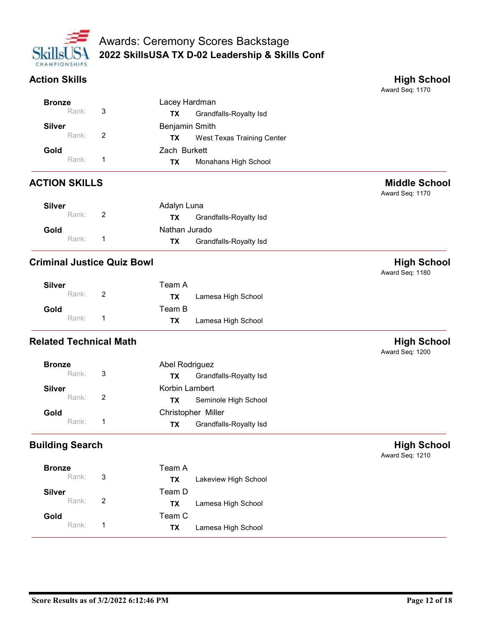

|                                   |                          | <b>Awards: Ceremony Scores Backstage</b>        |                                         |
|-----------------------------------|--------------------------|-------------------------------------------------|-----------------------------------------|
|                                   |                          | 2022 SkillsUSA TX D-02 Leadership & Skills Conf |                                         |
| CHAMPIONSHIPS                     |                          |                                                 |                                         |
| <b>Action Skills</b>              |                          |                                                 | <b>High School</b><br>Award Seq: 1170   |
| <b>Bronze</b>                     |                          | Lacey Hardman                                   |                                         |
| Rank:                             | $\sqrt{3}$               | Grandfalls-Royalty Isd<br><b>TX</b>             |                                         |
| <b>Silver</b>                     |                          | Benjamin Smith                                  |                                         |
| Rank:                             | 2                        | West Texas Training Center<br><b>TX</b>         |                                         |
| Gold                              |                          | Zach Burkett                                    |                                         |
| Rank:                             | -1                       | <b>TX</b><br>Monahans High School               |                                         |
| <b>ACTION SKILLS</b>              |                          |                                                 | <b>Middle School</b><br>Award Seq: 1170 |
| <b>Silver</b>                     |                          | Adalyn Luna                                     |                                         |
| Rank:                             | $\overline{2}$           | Grandfalls-Royalty Isd<br><b>TX</b>             |                                         |
| Gold                              |                          | Nathan Jurado                                   |                                         |
| Rank:                             | $\overline{\phantom{0}}$ | <b>Grandfalls-Royalty Isd</b><br><b>TX</b>      |                                         |
| <b>Criminal Justice Quiz Bowl</b> |                          |                                                 | <b>High School</b><br>Award Seq: 1180   |
| <b>Silver</b>                     |                          | Team A                                          |                                         |
| Rank:                             | $\overline{2}$           | <b>TX</b><br>Lamesa High School                 |                                         |
|                                   |                          | Team B                                          |                                         |

|                                   | Rank: | $\overline{2}$ | <b>TX</b>      | West Texas Training Center |                                         |
|-----------------------------------|-------|----------------|----------------|----------------------------|-----------------------------------------|
| Gold                              |       |                | Zach Burkett   |                            |                                         |
|                                   | Rank: | $\overline{1}$ | TX             | Monahans High School       |                                         |
| <b>ACTION SKILLS</b>              |       |                |                |                            | <b>Middle School</b><br>Award Seq: 1170 |
| <b>Silver</b>                     |       |                | Adalyn Luna    |                            |                                         |
|                                   | Rank: | $\overline{2}$ | <b>TX</b>      | Grandfalls-Royalty Isd     |                                         |
| Gold                              |       |                | Nathan Jurado  |                            |                                         |
|                                   | Rank: | $\overline{1}$ | TX             | Grandfalls-Royalty Isd     |                                         |
| <b>Criminal Justice Quiz Bowl</b> |       |                |                |                            | <b>High School</b><br>Award Seq: 1180   |
| <b>Silver</b>                     |       |                | Team A         |                            |                                         |
|                                   | Rank: | $\overline{2}$ | <b>TX</b>      | Lamesa High School         |                                         |
| Gold                              |       |                | Team B         |                            |                                         |
|                                   | Rank: | $\overline{1}$ | <b>TX</b>      | Lamesa High School         |                                         |
| <b>Related Technical Math</b>     |       |                |                |                            | <b>High School</b><br>Award Seq: 1200   |
| <b>Bronze</b>                     |       |                | Abel Rodriguez |                            |                                         |
|                                   | Rank: | $\sqrt{3}$     | <b>TX</b>      | Grandfalls-Royalty Isd     |                                         |
| <b>Silver</b>                     |       |                | Korbin Lambert |                            |                                         |

| <b>Silver</b><br>Rank: | $\overline{2}$ | Team A<br><b>TX</b> | Lamesa High School |
|------------------------|----------------|---------------------|--------------------|
| Gold<br>Rank: 1        |                | Team B<br>TX T      | Lamesa High School |

|                                   | Rank:                         | $\overline{1}$ | <b>TX</b>      | Grandfalls-Royalty Isd |                                       |
|-----------------------------------|-------------------------------|----------------|----------------|------------------------|---------------------------------------|
| <b>Criminal Justice Quiz Bowl</b> |                               |                |                |                        | <b>High School</b><br>Award Seq: 1180 |
| <b>Silver</b>                     |                               |                | Team A         |                        |                                       |
|                                   | Rank:                         | $\overline{2}$ | <b>TX</b>      | Lamesa High School     |                                       |
| Gold                              |                               |                | Team B         |                        |                                       |
|                                   | Rank:                         | $\overline{1}$ | <b>TX</b>      | Lamesa High School     |                                       |
|                                   | <b>Related Technical Math</b> |                |                |                        | <b>High School</b><br>Award Seq: 1200 |
|                                   | <b>Bronze</b>                 |                | Abel Rodriguez |                        |                                       |
|                                   | Rank:                         | $\mathbf{3}$   | TX             | Grandfalls-Royalty Isd |                                       |
| <b>Silver</b>                     |                               |                | Korbin Lambert |                        |                                       |
|                                   | Rank:                         | $\overline{2}$ | TX             | Seminole High School   |                                       |
| Gold                              |                               |                |                | Christopher Miller     |                                       |
|                                   | Rank:                         | $\overline{1}$ | <b>TX</b>      | Grandfalls-Royalty Isd |                                       |
|                                   | <b>Building Search</b>        |                |                |                        | <b>High School</b><br>Award Seq: 1210 |
|                                   | <b>Bronze</b>                 |                | Team A         |                        |                                       |
|                                   | Rank:                         | $\mathbf{3}$   | <b>TX</b>      | Lakeview High School   |                                       |
| <b>Silver</b>                     |                               |                | Team D         |                        |                                       |

| Christopher Miller<br>Gold<br>Rank:<br>$\mathbf{1}$<br>Grandfalls-Royalty Isd<br><b>TX</b><br>Award Seq: 1210<br>Team A<br><b>Bronze</b><br>$\mathbf{3}$<br>Rank:<br><b>TX</b><br>Lakeview High School<br>Team D<br><b>Silver</b><br>$\overline{2}$<br>Rank:<br>Lamesa High School<br><b>TX</b><br>Team C<br>Gold<br>Rank:<br>$\mathbf{1}$<br>Lamesa High School<br><b>TX</b> | <b>High School</b><br>Page 12 of 18 |  |
|-------------------------------------------------------------------------------------------------------------------------------------------------------------------------------------------------------------------------------------------------------------------------------------------------------------------------------------------------------------------------------|-------------------------------------|--|
|                                                                                                                                                                                                                                                                                                                                                                               |                                     |  |
| <b>Building Search</b>                                                                                                                                                                                                                                                                                                                                                        |                                     |  |
| Score Results as of 3/2/2022 6:12:46 PM                                                                                                                                                                                                                                                                                                                                       |                                     |  |
|                                                                                                                                                                                                                                                                                                                                                                               |                                     |  |
|                                                                                                                                                                                                                                                                                                                                                                               |                                     |  |
|                                                                                                                                                                                                                                                                                                                                                                               |                                     |  |
|                                                                                                                                                                                                                                                                                                                                                                               |                                     |  |
|                                                                                                                                                                                                                                                                                                                                                                               |                                     |  |
|                                                                                                                                                                                                                                                                                                                                                                               |                                     |  |
|                                                                                                                                                                                                                                                                                                                                                                               |                                     |  |
|                                                                                                                                                                                                                                                                                                                                                                               |                                     |  |
|                                                                                                                                                                                                                                                                                                                                                                               |                                     |  |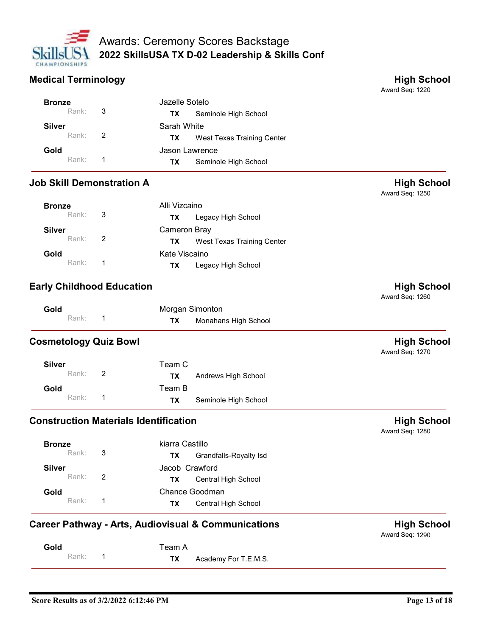

|                                  |                         | <b>Awards: Ceremony Scores Backstage</b>        |                                       |
|----------------------------------|-------------------------|-------------------------------------------------|---------------------------------------|
| CHAMPIONSHIPS                    |                         | 2022 SkillsUSA TX D-02 Leadership & Skills Conf |                                       |
| <b>Medical Terminology</b>       |                         |                                                 | <b>High School</b>                    |
|                                  |                         |                                                 | Award Seq: 1220                       |
| <b>Bronze</b>                    |                         | Jazelle Sotelo                                  |                                       |
| Rank:                            | 3                       | Seminole High School<br><b>TX</b>               |                                       |
|                                  |                         |                                                 |                                       |
| <b>Silver</b>                    |                         | Sarah White                                     |                                       |
| Rank:                            | 2                       | West Texas Training Center<br><b>TX</b>         |                                       |
| Gold                             |                         | Jason Lawrence                                  |                                       |
| Rank:                            | $\overline{\mathbf{1}}$ | <b>TX</b><br>Seminole High School               |                                       |
| <b>Job Skill Demonstration A</b> |                         |                                                 | <b>High School</b><br>Award Seq: 1250 |
| <b>Bronze</b>                    |                         | Alli Vizcaino                                   |                                       |
| Rank:                            | 3                       | Legacy High School<br>TX                        |                                       |

| Medical Terminology              |                                         | <b>High School</b><br>Award Seq: 1220 |
|----------------------------------|-----------------------------------------|---------------------------------------|
| <b>Bronze</b>                    | Jazelle Sotelo                          |                                       |
| 3<br>Rank:                       | Seminole High School<br><b>TX</b>       |                                       |
| <b>Silver</b>                    | Sarah White                             |                                       |
| $\overline{2}$<br>Rank:          | West Texas Training Center<br>TX        |                                       |
| Gold                             | Jason Lawrence                          |                                       |
| Rank:<br>$\overline{\mathbf{1}}$ | Seminole High School<br>TX              |                                       |
| <b>Job Skill Demonstration A</b> |                                         | <b>High School</b><br>Award Seq: 1250 |
| <b>Bronze</b>                    | Alli Vizcaino                           |                                       |
| 3<br>Rank:                       | Legacy High School<br>TX                |                                       |
| <b>Silver</b>                    | Cameron Bray                            |                                       |
| $\overline{2}$<br>Rank:          | West Texas Training Center<br><b>TX</b> |                                       |
| Gold                             | Kate Viscaino                           |                                       |
| Rank:<br>$\overline{1}$          | Legacy High School<br>TX                |                                       |
| <b>Early Childhood Education</b> |                                         | <b>High School</b><br>Award Seq: 1260 |
| Gold                             | Morgan Simonton                         |                                       |
| Rank:<br>$\mathbf 1$             | Monahans High School<br><b>TX</b>       |                                       |
| <b>Cosmetology Quiz Bowl</b>     |                                         | <b>High School</b><br>Award Seq: 1270 |
| <b>Silver</b>                    | Team C                                  |                                       |
| $\sqrt{2}$<br>Rank:              | <b>TX</b><br>Andrews High School        |                                       |
| Gold                             | Team B                                  |                                       |

| Rank:                                        | 3              | <b>TX</b>       | Legacy High School                                             |                                       |
|----------------------------------------------|----------------|-----------------|----------------------------------------------------------------|---------------------------------------|
| <b>Silver</b>                                |                | Cameron Bray    |                                                                |                                       |
| Rank:                                        | 2              | <b>TX</b>       | West Texas Training Center                                     |                                       |
| Gold                                         |                | Kate Viscaino   |                                                                |                                       |
| Rank:                                        | $\overline{1}$ | <b>TX</b>       | Legacy High School                                             |                                       |
| <b>Early Childhood Education</b>             |                |                 |                                                                | <b>High School</b><br>Award Seq: 1260 |
| Gold                                         |                | Morgan Simonton |                                                                |                                       |
| Rank:                                        | $\overline{1}$ | <b>TX</b>       | Monahans High School                                           |                                       |
| <b>Cosmetology Quiz Bowl</b>                 |                |                 |                                                                | <b>High School</b><br>Award Seq: 1270 |
| <b>Silver</b>                                |                | Team C          |                                                                |                                       |
| Rank:                                        | 2              | <b>TX</b>       | Andrews High School                                            |                                       |
| Gold                                         |                | Team B          |                                                                |                                       |
| Rank:                                        | $\overline{1}$ | <b>TX</b>       | Seminole High School                                           |                                       |
| <b>Construction Materials Identification</b> |                |                 |                                                                | <b>High School</b><br>Award Seq: 1280 |
| <b>Bronze</b>                                |                | kiarra Castillo |                                                                |                                       |
| Rank:                                        | 3              | <b>TX</b>       | Grandfalls-Royalty Isd                                         |                                       |
| <b>Silver</b>                                |                | Jacob Crawford  |                                                                |                                       |
| Rank:                                        | 2              | <b>TX</b>       | Central High School                                            |                                       |
| Gold                                         |                | Chance Goodman  |                                                                |                                       |
| Rank:                                        | $\overline{1}$ | <b>TX</b>       | Central High School                                            |                                       |
|                                              |                |                 | <b>Career Pathway - Arts, Audiovisual &amp; Communications</b> | <b>High School</b><br>Award Seq: 1290 |
| Gold                                         |                | Team A          |                                                                |                                       |
| Rank:                                        | $\overline{1}$ | <b>TX</b>       | Academy For T.E.M.S.                                           |                                       |

| <b>Silver</b> |                | Team C |                      |
|---------------|----------------|--------|----------------------|
| Rank:         | $\overline{2}$ | ΤХ     | Andrews High School  |
| Gold          |                | Team B |                      |
| Rank:         | $\overline{1}$ | TХ     | Seminole High School |

| <b>Construction Materials Identification</b><br><b>High School</b><br>Award Seq: 1280<br>kiarra Castillo<br><b>Bronze</b><br>$\sqrt{3}$<br>Rank:<br>Grandfalls-Royalty Isd<br>TX<br>Jacob Crawford<br><b>Silver</b><br>$\overline{2}$<br>Rank:<br>Central High School<br><b>TX</b><br>Chance Goodman<br>Gold<br>Rank:<br>$\mathbf{1}$<br>Central High School<br>TX<br><b>High School</b><br>Award Seq: 1290<br>Team A<br>Gold<br>Rank:<br>$\mathbf{1}$<br>Academy For T.E.M.S.<br><b>TX</b> |
|---------------------------------------------------------------------------------------------------------------------------------------------------------------------------------------------------------------------------------------------------------------------------------------------------------------------------------------------------------------------------------------------------------------------------------------------------------------------------------------------|
| Career Pathway - Arts, Audiovisual & Communications                                                                                                                                                                                                                                                                                                                                                                                                                                         |
|                                                                                                                                                                                                                                                                                                                                                                                                                                                                                             |
|                                                                                                                                                                                                                                                                                                                                                                                                                                                                                             |
|                                                                                                                                                                                                                                                                                                                                                                                                                                                                                             |
|                                                                                                                                                                                                                                                                                                                                                                                                                                                                                             |
|                                                                                                                                                                                                                                                                                                                                                                                                                                                                                             |
|                                                                                                                                                                                                                                                                                                                                                                                                                                                                                             |
|                                                                                                                                                                                                                                                                                                                                                                                                                                                                                             |
|                                                                                                                                                                                                                                                                                                                                                                                                                                                                                             |
|                                                                                                                                                                                                                                                                                                                                                                                                                                                                                             |
| Score Results as of 3/2/2022 6:12:46 PM<br>Page 13 of 18                                                                                                                                                                                                                                                                                                                                                                                                                                    |

| Gold    | Team A |                                |
|---------|--------|--------------------------------|
| Rank: 1 |        | <b>TX</b> Academy For T.E.M.S. |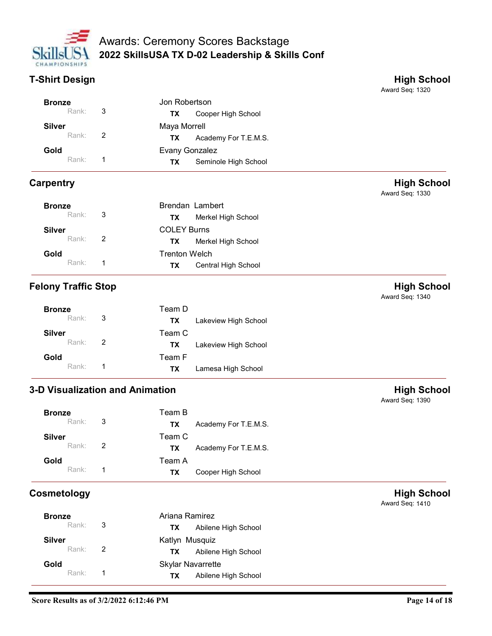

| CHAMPIONSHIPS              |                                                   | Awards: Ceremony Scores Backstage<br>2022 SkillsUSA TX D-02 Leadership & Skills Conf |                                       |
|----------------------------|---------------------------------------------------|--------------------------------------------------------------------------------------|---------------------------------------|
| <b>T-Shirt Design</b>      |                                                   |                                                                                      | <b>High School</b><br>Award Seq: 1320 |
| <b>Bronze</b>              | Jon Robertson                                     |                                                                                      |                                       |
| Rank:                      | $\sqrt{3}$<br><b>TX</b>                           | Cooper High School                                                                   |                                       |
| <b>Silver</b><br>Rank:     | Maya Morrell<br>$\overline{2}$                    |                                                                                      |                                       |
| Gold                       | <b>TX</b>                                         | Academy For T.E.M.S.                                                                 |                                       |
| Rank:                      | Evany Gonzalez<br>-1<br><b>TX</b>                 | Seminole High School                                                                 |                                       |
|                            |                                                   |                                                                                      |                                       |
| <b>Carpentry</b>           |                                                   |                                                                                      | <b>High School</b><br>Award Seq: 1330 |
| <b>Bronze</b>              |                                                   | Brendan Lambert                                                                      |                                       |
| Rank:                      | 3<br><b>TX</b>                                    | Merkel High School                                                                   |                                       |
| <b>Silver</b>              | <b>COLEY Burns</b>                                |                                                                                      |                                       |
| Rank:                      | $\boldsymbol{2}$<br><b>TX</b>                     | Merkel High School                                                                   |                                       |
| Gold<br>Rank:              | <b>Trenton Welch</b><br>$\mathbf{1}$<br><b>TX</b> | Central High School                                                                  |                                       |
|                            |                                                   |                                                                                      |                                       |
| <b>Felony Traffic Stop</b> |                                                   |                                                                                      | <b>High School</b><br>Award Seq: 1340 |
| <b>Bronze</b>              | Team D                                            |                                                                                      |                                       |
| Rank:                      | $\sqrt{3}$<br><b>TX</b>                           | Lakeview High School                                                                 |                                       |
| <b>Silver</b>              | Team C                                            |                                                                                      |                                       |
| Rank:                      | $\overline{2}$<br>TX                              | Lakeview High School                                                                 |                                       |
| Gold<br>Rank:              | Team F<br>$\mathbf{1}$<br>TX                      |                                                                                      |                                       |
|                            |                                                   | Lamesa High School                                                                   |                                       |
|                            | 3-D Visualization and Animation                   |                                                                                      | <b>High School</b><br>Award Seq: 1390 |
| <b>Bronze</b>              | Team B                                            |                                                                                      |                                       |
| Rank:                      | $\ensuremath{\mathsf{3}}$<br>TX                   | Academy For T.E.M.S.                                                                 |                                       |
| <b>Silver</b>              | Team C                                            |                                                                                      |                                       |
| Rank:                      | $\boldsymbol{2}$<br>TX                            | Academy For T.E.M.S.                                                                 |                                       |
| Gold<br>Rank:              | Team A<br>-1                                      |                                                                                      |                                       |
|                            | <b>TX</b>                                         | Cooper High School                                                                   |                                       |
| Cosmetology                |                                                   |                                                                                      | <b>High School</b><br>Award Seq: 1410 |
| <b>Bronze</b><br>Rank:     | Ariana Ramirez<br>$\sqrt{3}$                      |                                                                                      |                                       |
| <b>Silver</b>              | <b>TX</b>                                         | Abilene High School                                                                  |                                       |
| Rank:                      | Katlyn Musquiz<br>$\overline{c}$<br><b>TX</b>     | Abilene High School                                                                  |                                       |
| Gold                       |                                                   | <b>Skylar Navarrette</b>                                                             |                                       |
| Rank:                      | -1<br>TX                                          | Abilene High School                                                                  |                                       |
|                            |                                                   |                                                                                      |                                       |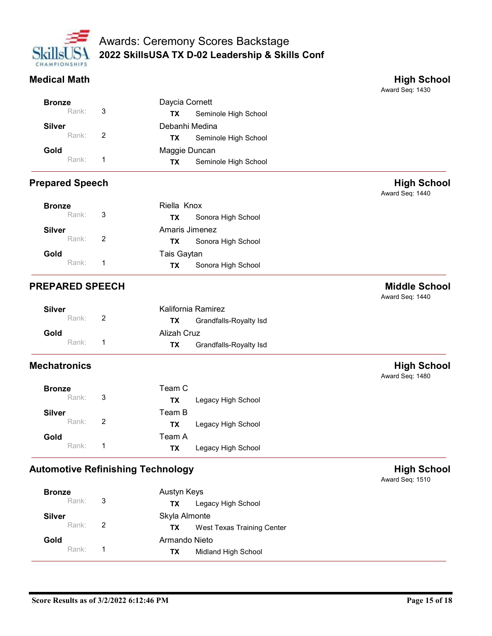

|                        | <b>Awards: Ceremony Scores Backstage</b>            |                                       |
|------------------------|-----------------------------------------------------|---------------------------------------|
|                        | 2022 SkillsUSA TX D-02 Leadership & Skills Conf     |                                       |
| CHAMPIONSHIPS          |                                                     |                                       |
| <b>Medical Math</b>    |                                                     | <b>High School</b>                    |
|                        |                                                     | Award Seq: 1430                       |
| <b>Bronze</b>          | Daycia Cornett                                      |                                       |
|                        |                                                     |                                       |
| Rank:                  | 3<br>Seminole High School<br><b>TX</b>              |                                       |
| <b>Silver</b>          | Debanhi Medina                                      |                                       |
| Rank:                  | $\overline{2}$<br>Seminole High School<br><b>TX</b> |                                       |
| Gold                   | Maggie Duncan                                       |                                       |
| Rank:                  | $\overline{1}$<br>Seminole High School<br><b>TX</b> |                                       |
| <b>Prepared Speech</b> |                                                     | <b>High School</b><br>Award Seq: 1440 |
| <b>Bronze</b>          | Riella Knox                                         |                                       |
| Rank:                  | 3<br>Sonora High School<br><b>TX</b>                |                                       |

| Medical Math           |                |                                     | <b>High School</b><br>Award Seq: 1430   |
|------------------------|----------------|-------------------------------------|-----------------------------------------|
| <b>Bronze</b>          |                | Daycia Cornett                      |                                         |
| Rank:                  | $\mathbf{3}$   | Seminole High School<br><b>TX</b>   |                                         |
| <b>Silver</b>          |                | Debanhi Medina                      |                                         |
| Rank:                  | $\overline{2}$ | Seminole High School<br><b>TX</b>   |                                         |
| Gold                   |                | Maggie Duncan                       |                                         |
| Rank:                  | $\overline{1}$ | Seminole High School<br><b>TX</b>   |                                         |
| <b>Prepared Speech</b> |                |                                     | <b>High School</b><br>Award Seq: 1440   |
| <b>Bronze</b>          |                | Riella Knox                         |                                         |
| Rank:                  | 3              | Sonora High School<br><b>TX</b>     |                                         |
| <b>Silver</b>          |                | Amaris Jimenez                      |                                         |
| Rank:                  | $\overline{2}$ | Sonora High School<br><b>TX</b>     |                                         |
| Gold                   |                | Tais Gaytan                         |                                         |
| Rank:                  | $\overline{1}$ | Sonora High School<br><b>TX</b>     |                                         |
| <b>PREPARED SPEECH</b> |                |                                     | <b>Middle School</b><br>Award Seq: 1440 |
| <b>Silver</b>          |                | Kalifornia Ramirez                  |                                         |
| Rank:                  | $\overline{2}$ | <b>TX</b><br>Grandfalls-Royalty Isd |                                         |
| Gold                   |                | Alizah Cruz                         |                                         |
| Rank:                  | $\overline{1}$ | <b>TX</b><br>Grandfalls-Royalty Isd |                                         |
| <b>Mechatronics</b>    |                |                                     | <b>High School</b><br>Award Seq: 1480   |
| <b>Bronze</b>          |                | Team C                              |                                         |
| Rank:                  | 3              | Legacy High School<br><b>TX</b>     |                                         |
| <b>Silver</b>          |                | Team B                              |                                         |

| <b>Silver</b> |                | Kalifornia Ramirez           |  |
|---------------|----------------|------------------------------|--|
| Rank:         | $\overline{2}$ | Grandfalls-Royalty Isd<br>ТX |  |
| Gold          |                | Alizah Cruz                  |  |
| Rank:         |                | Grandfalls-Royalty Isd<br>ТX |  |

| Rank:                                    | $\overline{1}$ | <b>TX</b>     | Sonora High School     |                                         |
|------------------------------------------|----------------|---------------|------------------------|-----------------------------------------|
| <b>PREPARED SPEECH</b>                   |                |               |                        | <b>Middle School</b><br>Award Seq: 1440 |
| <b>Silver</b>                            |                |               | Kalifornia Ramirez     |                                         |
| Rank:                                    | $\overline{2}$ | <b>TX</b>     | Grandfalls-Royalty Isd |                                         |
| Gold                                     |                | Alizah Cruz   |                        |                                         |
| Rank:                                    | $\overline{1}$ | <b>TX</b>     | Grandfalls-Royalty Isd |                                         |
| <b>Mechatronics</b>                      |                |               |                        | <b>High School</b><br>Award Seq: 1480   |
| <b>Bronze</b>                            |                | Team C        |                        |                                         |
| Rank:                                    | $\mathbf{3}$   | <b>TX</b>     | Legacy High School     |                                         |
| <b>Silver</b>                            |                | Team B        |                        |                                         |
| Rank:                                    | $\overline{2}$ | <b>TX</b>     | Legacy High School     |                                         |
| Gold                                     |                | Team A        |                        |                                         |
| Rank:                                    | $\overline{1}$ | <b>TX</b>     | Legacy High School     |                                         |
| <b>Automotive Refinishing Technology</b> |                |               |                        | <b>High School</b><br>Award Seq: 1510   |
| <b>Bronze</b>                            |                | Austyn Keys   |                        |                                         |
| Rank:                                    | $\mathbf{3}$   | <b>TX</b>     | Legacy High School     |                                         |
| <b>Silver</b>                            |                | Skyla Almonte |                        |                                         |

|               | Rank: | $\mathbf{3}$   | <b>TX</b>                                | Legacy High School         |                                       |
|---------------|-------|----------------|------------------------------------------|----------------------------|---------------------------------------|
| <b>Silver</b> |       |                | Team B                                   |                            |                                       |
|               | Rank: | $\overline{2}$ | <b>TX</b>                                | Legacy High School         |                                       |
| Gold          |       |                | Team A                                   |                            |                                       |
|               | Rank: | $\mathbf{1}$   | TX                                       | Legacy High School         |                                       |
|               |       |                | <b>Automotive Refinishing Technology</b> |                            | <b>High School</b><br>Award Seq: 1510 |
| <b>Bronze</b> |       |                | Austyn Keys                              |                            |                                       |
|               | Rank: | $\sqrt{3}$     | TX                                       | Legacy High School         |                                       |
| <b>Silver</b> |       |                | Skyla Almonte                            |                            |                                       |
|               | Rank: | $\overline{2}$ | <b>TX</b>                                | West Texas Training Center |                                       |
| Gold          |       |                | Armando Nieto                            |                            |                                       |
|               | Rank: | $\mathbf{1}$   | <b>TX</b>                                | Midland High School        |                                       |
|               |       |                |                                          |                            |                                       |
|               |       |                |                                          |                            |                                       |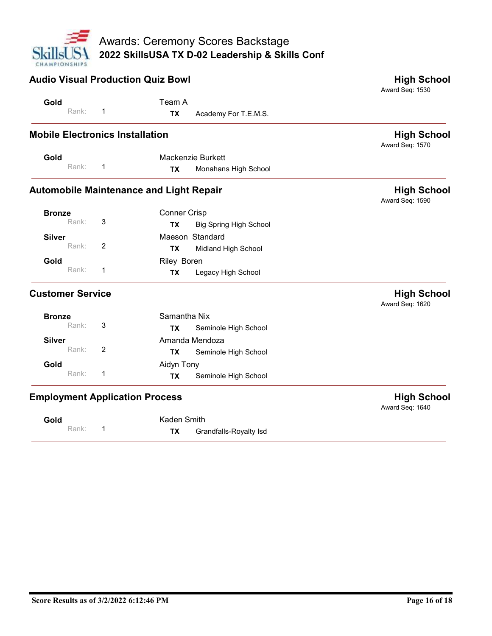

| CHAMPIONSHIPS<br><b>Audio Visual Production Quiz Bowl</b> | 2022 SkillsUSA TX D-02 Leadership & Skills Conf        | <b>High School</b><br>Award Seq: 1530 |
|-----------------------------------------------------------|--------------------------------------------------------|---------------------------------------|
| Gold                                                      | Team A                                                 |                                       |
| Rank:<br>-1                                               | Academy For T.E.M.S.<br><b>TX</b>                      |                                       |
| <b>Mobile Electronics Installation</b>                    |                                                        | <b>High School</b><br>Award Seq: 1570 |
| Gold<br>Rank:<br>$\overline{1}$                           | Mackenzie Burkett<br>Monahans High School<br><b>TX</b> |                                       |
| <b>Automobile Maintenance and Light Repair</b>            |                                                        | <b>High School</b><br>Award Seq: 1590 |
| <b>Bronze</b><br>Rank:                                    | Conner Crisp                                           |                                       |
| 3<br><b>Silver</b>                                        | <b>Big Spring High School</b><br>TX<br>Maeson Standard |                                       |
| Rank:<br>$\overline{2}$                                   | Midland High School<br><b>TX</b>                       |                                       |
| Gold                                                      | Riley Boren                                            |                                       |
| Rank:<br>$\mathbf{1}$                                     | Legacy High School<br><b>TX</b>                        |                                       |
| <b>Customer Service</b>                                   |                                                        | <b>High School</b><br>Award Seq: 1620 |
| <b>Bronze</b><br>$\ensuremath{\mathsf{3}}$<br>Rank:       | Samantha Nix<br><b>TX</b><br>Seminole High School      |                                       |
| <b>Silver</b>                                             | Amanda Mendoza                                         |                                       |
| $\overline{c}$<br>Rank:                                   | Seminole High School<br><b>TX</b>                      |                                       |
| Gold<br>Rank:<br>$\overline{1}$                           | Aidyn Tony                                             |                                       |
|                                                           | Seminole High School<br><b>TX</b>                      |                                       |
| <b>Employment Application Process</b>                     |                                                        | <b>High School</b><br>Award Seq: 1640 |
| Gold<br>Rank:<br>$\overline{1}$                           | Kaden Smith<br>Grandfalls-Royalty Isd<br><b>TX</b>     |                                       |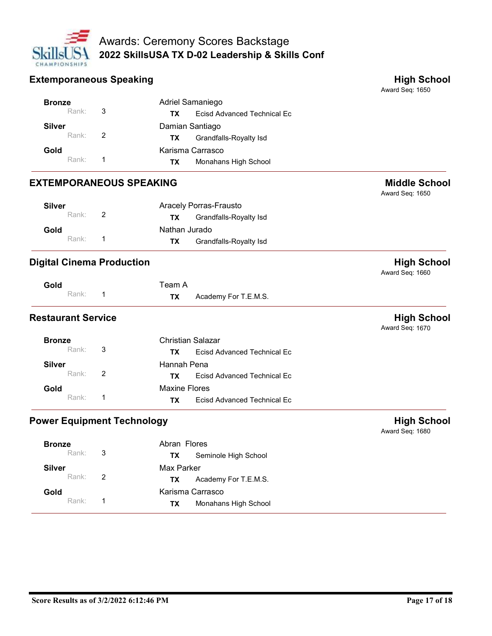

|                                   |                                         | <b>Awards: Ceremony Scores Backstage</b>                                |                                       |  |
|-----------------------------------|-----------------------------------------|-------------------------------------------------------------------------|---------------------------------------|--|
| CHAMPIONSHIPS                     |                                         | 2022 SkillsUSA TX D-02 Leadership & Skills Conf                         |                                       |  |
| <b>Extemporaneous Speaking</b>    |                                         |                                                                         | <b>High School</b>                    |  |
|                                   |                                         |                                                                         | Award Seq: 1650                       |  |
| <b>Bronze</b>                     |                                         | Adriel Samaniego                                                        |                                       |  |
| Rank:                             | 3                                       | <b>Ecisd Advanced Technical Ec</b><br><b>TX</b>                         |                                       |  |
| <b>Silver</b><br>Rank:            | $\overline{c}$                          | Damian Santiago                                                         |                                       |  |
| Gold                              |                                         | <b>Grandfalls-Royalty Isd</b><br><b>TX</b><br>Karisma Carrasco          |                                       |  |
| Rank:                             | 1                                       | Monahans High School<br><b>TX</b>                                       |                                       |  |
| <b>EXTEMPORANEOUS SPEAKING</b>    | <b>Middle School</b><br>Award Seq: 1650 |                                                                         |                                       |  |
| <b>Silver</b>                     |                                         | Aracely Porras-Frausto                                                  |                                       |  |
| Rank:                             | $\overline{c}$                          | <b>Grandfalls-Royalty Isd</b><br><b>TX</b>                              |                                       |  |
| Gold                              |                                         | Nathan Jurado                                                           |                                       |  |
| Rank:                             | $\overline{1}$                          | <b>TX</b><br><b>Grandfalls-Royalty Isd</b>                              |                                       |  |
| <b>Digital Cinema Production</b>  |                                         |                                                                         | <b>High School</b><br>Award Seq: 1660 |  |
| Gold                              |                                         | Team A                                                                  |                                       |  |
| Rank:                             | $\overline{1}$                          | Academy For T.E.M.S.<br><b>TX</b>                                       |                                       |  |
| <b>Restaurant Service</b>         |                                         |                                                                         | <b>High School</b><br>Award Seq: 1670 |  |
|                                   |                                         | <b>Christian Salazar</b>                                                |                                       |  |
| <b>Bronze</b>                     |                                         | <b>Ecisd Advanced Technical Ec</b><br><b>TX</b>                         |                                       |  |
| Rank:                             | 3                                       |                                                                         |                                       |  |
| <b>Silver</b>                     |                                         | Hannah Pena                                                             |                                       |  |
| Rank:                             | $\overline{c}$                          | <b>Ecisd Advanced Technical Ec</b><br><b>TX</b>                         |                                       |  |
| Gold<br>Rank:                     | $\mathbf{1}$                            | <b>Maxine Flores</b><br><b>Ecisd Advanced Technical Ec</b><br><b>TX</b> |                                       |  |
| <b>Power Equipment Technology</b> |                                         |                                                                         | <b>High School</b><br>Award Seq: 1680 |  |
| <b>Bronze</b>                     |                                         | Abran Flores                                                            |                                       |  |
| Rank:                             | $\mathbf{3}$                            | Seminole High School<br>TX                                              |                                       |  |

| $   -$<br>Rank:                         | $\overline{1}$ | <b>TX</b>  | Ecisd Advanced Technical Ec |                                       |
|-----------------------------------------|----------------|------------|-----------------------------|---------------------------------------|
| Power Equipment Technology              |                |            |                             | <b>High School</b><br>Award Seq: 1680 |
| Abran Flores<br><b>Bronze</b>           |                |            |                             |                                       |
| Rank:                                   | $\mathbf{3}$   | TX         | Seminole High School        |                                       |
| <b>Silver</b>                           |                | Max Parker |                             |                                       |
| Rank:                                   | $\overline{2}$ | <b>TX</b>  | Academy For T.E.M.S.        |                                       |
| Gold                                    |                |            | Karisma Carrasco            |                                       |
| Rank:                                   | $\mathbf{1}$   | <b>TX</b>  | Monahans High School        |                                       |
|                                         |                |            |                             |                                       |
| Score Results as of 3/2/2022 6:12:46 PM |                |            |                             | Page 17 of 18                         |
|                                         |                |            |                             |                                       |

| <b>Bronze</b>        | Abran Flores                      |  |
|----------------------|-----------------------------------|--|
| Rank: 3              | Seminole High School<br><b>TX</b> |  |
| <b>Silver</b>        | Max Parker                        |  |
| Rank: $\overline{2}$ | Academy For T.E.M.S.<br><b>TX</b> |  |
| Gold                 | Karisma Carrasco                  |  |
| Rank <sup>.</sup>    | Monahans High School<br>ТX        |  |